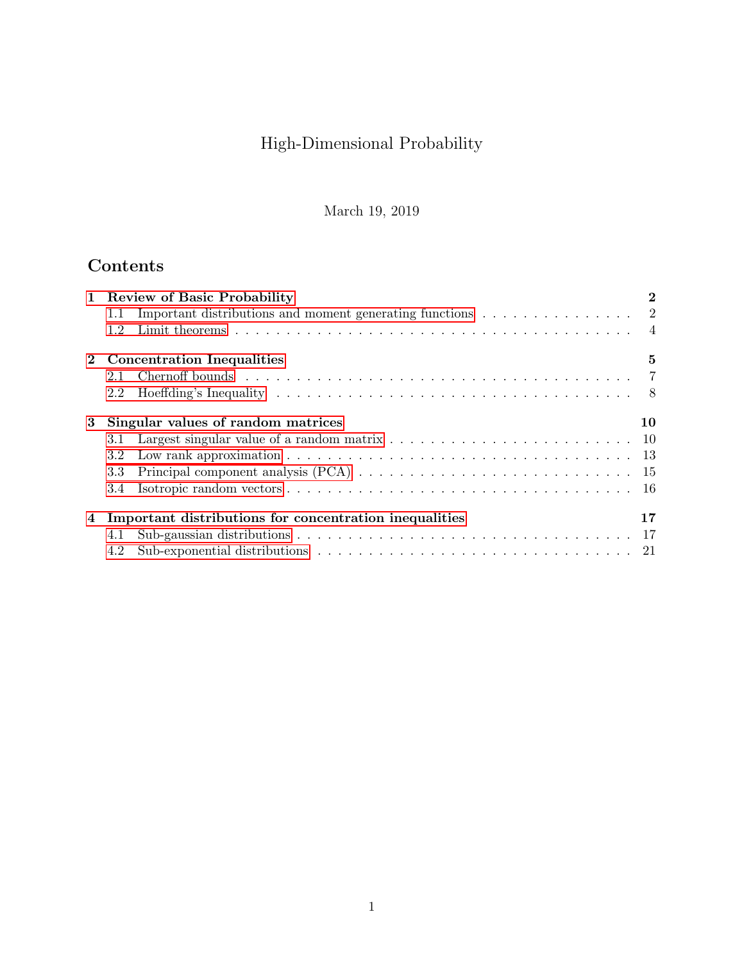# High-Dimensional Probability

March 19, 2019

## Contents

|   | 1 Review of Basic Probability                                                                                                      | $\overline{2}$ |
|---|------------------------------------------------------------------------------------------------------------------------------------|----------------|
|   | Important distributions and moment generating functions<br>$\hfill\ldots\ldots\ldots\ldots\ldots\ldots\ldots\ldots\qquad 2$<br>1.1 |                |
|   | 1.2                                                                                                                                |                |
|   | 2 Concentration Inequalities                                                                                                       | 5              |
|   | 2.1                                                                                                                                |                |
|   | $2.2^{\circ}$                                                                                                                      |                |
| 3 | Singular values of random matrices                                                                                                 | 10             |
|   | Largest singular value of a random matrix $\ldots \ldots \ldots \ldots \ldots \ldots \ldots \ldots \ldots \ldots 10$<br>3.1        |                |
|   | Low rank approximation $\ldots \ldots \ldots \ldots \ldots \ldots \ldots \ldots \ldots \ldots \ldots$<br>3.2                       |                |
|   | Principal component analysis (PCA) $\ldots \ldots \ldots \ldots \ldots \ldots \ldots \ldots \ldots \ldots 15$<br>3.3               |                |
|   | 3.4                                                                                                                                |                |
| 4 | Important distributions for concentration inequalities                                                                             | 17             |
|   | 4.1                                                                                                                                |                |
|   | 4.2                                                                                                                                |                |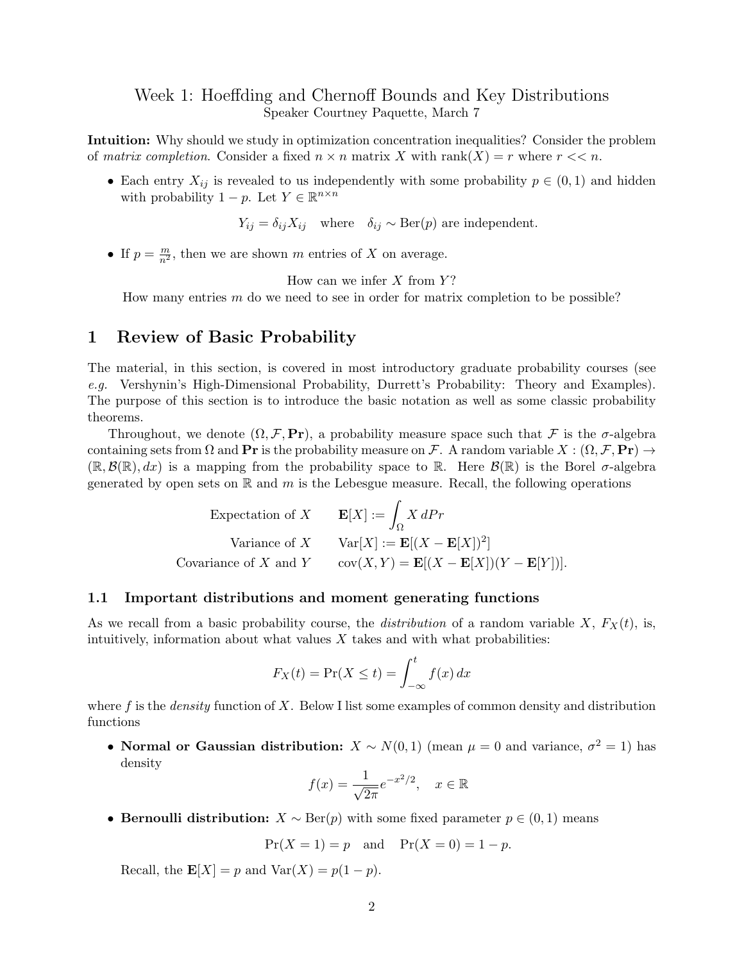## Week 1: Hoeffding and Chernoff Bounds and Key Distributions Speaker Courtney Paquette, March 7

Intuition: Why should we study in optimization concentration inequalities? Consider the problem of matrix completion. Consider a fixed  $n \times n$  matrix X with rank $(X) = r$  where  $r \ll n$ .

• Each entry  $X_{ij}$  is revealed to us independently with some probability  $p \in (0,1)$  and hidden with probability  $1 - p$ . Let  $Y \in \mathbb{R}^{n \times n}$ 

 $Y_{ij} = \delta_{ij}X_{ij}$  where  $\delta_{ij} \sim \text{Ber}(p)$  are independent.

• If  $p = \frac{m}{n^2}$ , then we are shown m entries of X on average.

How can we infer  $X$  from  $Y$ ?

How many entries  $m$  do we need to see in order for matrix completion to be possible?

## <span id="page-1-0"></span>1 Review of Basic Probability

The material, in this section, is covered in most introductory graduate probability courses (see e.g. Vershynin's High-Dimensional Probability, Durrett's Probability: Theory and Examples). The purpose of this section is to introduce the basic notation as well as some classic probability theorems.

Throughout, we denote  $(\Omega, \mathcal{F}, \text{Pr})$ , a probability measure space such that  $\mathcal{F}$  is the  $\sigma$ -algebra containing sets from  $\Omega$  and  $\mathbf{Pr}$  is the probability measure on F. A random variable  $X : (\Omega, \mathcal{F}, \mathbf{Pr}) \to$  $(\mathbb{R}, \mathcal{B}(\mathbb{R}), dx)$  is a mapping from the probability space to  $\mathbb{R}$ . Here  $\mathcal{B}(\mathbb{R})$  is the Borel  $\sigma$ -algebra generated by open sets on  $\mathbb R$  and  $m$  is the Lebesgue measure. Recall, the following operations

> Expectation of  $X$ Ω  $X dPr$ Variance of X Var $[X] := \mathbf{E}[(X - \mathbf{E}[X])^2]$ Covariance of X and Y cov $(X, Y) = \mathbf{E}[(X - \mathbf{E}[X])(Y - \mathbf{E}[Y])].$

#### <span id="page-1-1"></span>1.1 Important distributions and moment generating functions

As we recall from a basic probability course, the *distribution* of a random variable  $X$ ,  $F_X(t)$ , is, intuitively, information about what values  $X$  takes and with what probabilities:

$$
F_X(t) = \Pr(X \le t) = \int_{-\infty}^t f(x) \, dx
$$

where f is the *density* function of X. Below I list some examples of common density and distribution functions

• Normal or Gaussian distribution:  $X \sim N(0, 1)$  (mean  $\mu = 0$  and variance,  $\sigma^2 = 1$ ) has density

$$
f(x) = \frac{1}{\sqrt{2\pi}}e^{-x^2/2}, \quad x \in \mathbb{R}
$$

• Bernoulli distribution:  $X \sim \text{Ber}(p)$  with some fixed parameter  $p \in (0, 1)$  means

$$
Pr(X = 1) = p
$$
 and  $Pr(X = 0) = 1 - p$ .

Recall, the  $\mathbf{E}[X] = p$  and  $\text{Var}(X) = p(1-p)$ .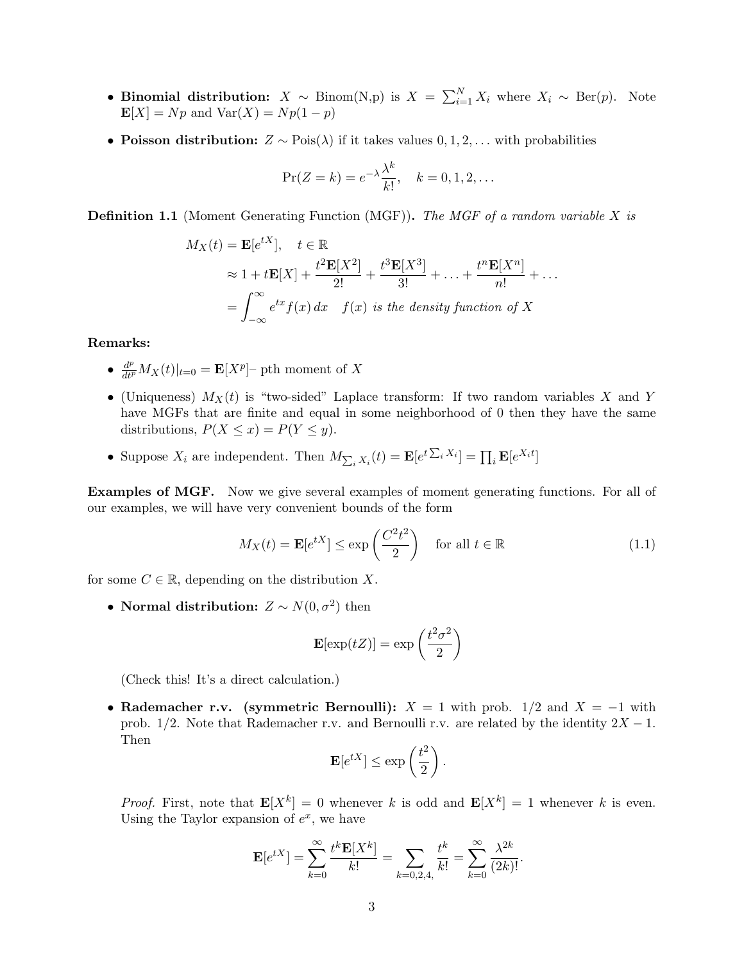- Binomial distribution:  $X \sim \text{Binom}(N,p)$  is  $X = \sum_{i=1}^{N} X_i$  where  $X_i \sim \text{Ber}(p)$ . Note  $\mathbf{E}[X] = Np$  and  $\text{Var}(X) = Np(1-p)$
- Poisson distribution:  $Z \sim \text{Pois}(\lambda)$  if it takes values  $0, 1, 2, \ldots$  with probabilities

$$
\Pr(Z = k) = e^{-\lambda} \frac{\lambda^k}{k!}, \quad k = 0, 1, 2, \dots
$$

**Definition 1.1** (Moment Generating Function (MGF)). The MGF of a random variable X is

$$
M_X(t) = \mathbf{E}[e^{tX}], \quad t \in \mathbb{R}
$$
  
\n
$$
\approx 1 + t\mathbf{E}[X] + \frac{t^2\mathbf{E}[X^2]}{2!} + \frac{t^3\mathbf{E}[X^3]}{3!} + \dots + \frac{t^n\mathbf{E}[X^n]}{n!} + \dots
$$
  
\n
$$
= \int_{-\infty}^{\infty} e^{tx} f(x) dx \quad f(x) \text{ is the density function of } X
$$

Remarks:

- $\frac{d^p}{dt^p} M_X(t)|_{t=0} = \mathbf{E}[X^p]$  pth moment of X
- (Uniqueness)  $M_X(t)$  is "two-sided" Laplace transform: If two random variables X and Y have MGFs that are finite and equal in some neighborhood of 0 then they have the same distributions,  $P(X \leq x) = P(Y \leq y)$ .
- Suppose  $X_i$  are independent. Then  $M_{\sum_i X_i}(t) = \mathbf{E}[e^{t\sum_i X_i}] = \prod_i \mathbf{E}[e^{X_i t}]$

Examples of MGF. Now we give several examples of moment generating functions. For all of our examples, we will have very convenient bounds of the form

<span id="page-2-0"></span>
$$
M_X(t) = \mathbf{E}[e^{tX}] \le \exp\left(\frac{C^2 t^2}{2}\right) \quad \text{for all } t \in \mathbb{R}
$$
 (1.1)

for some  $C \in \mathbb{R}$ , depending on the distribution X.

• Normal distribution:  $Z \sim N(0, \sigma^2)$  then

$$
\mathbf{E}[\exp(tZ)] = \exp\left(\frac{t^2\sigma^2}{2}\right)
$$

(Check this! It's a direct calculation.)

• Rademacher r.v. (symmetric Bernoulli):  $X = 1$  with prob.  $1/2$  and  $X = -1$  with prob. 1/2. Note that Rademacher r.v. and Bernoulli r.v. are related by the identity  $2X - 1$ . Then

$$
\mathbf{E}[e^{tX}] \le \exp\left(\frac{t^2}{2}\right).
$$

*Proof.* First, note that  $\mathbf{E}[X^k] = 0$  whenever k is odd and  $\mathbf{E}[X^k] = 1$  whenever k is even. Using the Taylor expansion of  $e^x$ , we have

$$
\mathbf{E}[e^{tX}] = \sum_{k=0}^{\infty} \frac{t^k \mathbf{E}[X^k]}{k!} = \sum_{k=0,2,4,} \frac{t^k}{k!} = \sum_{k=0}^{\infty} \frac{\lambda^{2k}}{(2k)!}.
$$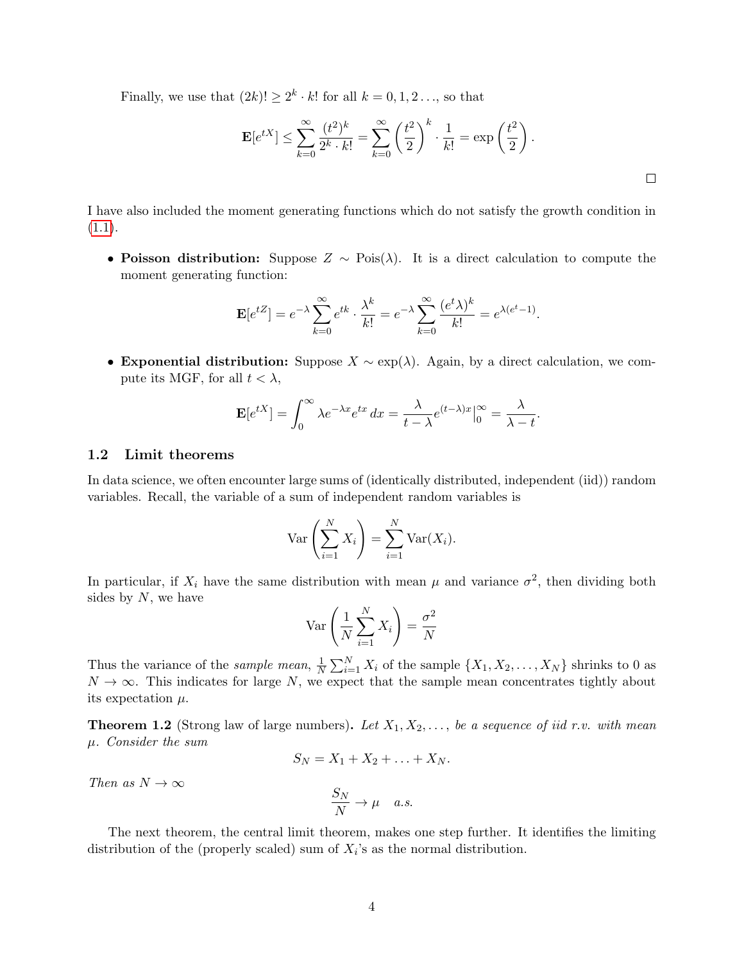Finally, we use that  $(2k)! \geq 2^k \cdot k!$  for all  $k = 0, 1, 2 \dots$ , so that

$$
\mathbf{E}[e^{tX}] \le \sum_{k=0}^{\infty} \frac{(t^2)^k}{2^k \cdot k!} = \sum_{k=0}^{\infty} \left(\frac{t^2}{2}\right)^k \cdot \frac{1}{k!} = \exp\left(\frac{t^2}{2}\right).
$$

I have also included the moment generating functions which do not satisfy the growth condition in  $(1.1).$  $(1.1).$ 

• Poisson distribution: Suppose  $Z \sim \text{Pois}(\lambda)$ . It is a direct calculation to compute the moment generating function:

$$
\mathbf{E}[e^{tZ}] = e^{-\lambda} \sum_{k=0}^{\infty} e^{tk} \cdot \frac{\lambda^k}{k!} = e^{-\lambda} \sum_{k=0}^{\infty} \frac{(e^t \lambda)^k}{k!} = e^{\lambda(e^t - 1)}.
$$

• Exponential distribution: Suppose  $X \sim \exp(\lambda)$ . Again, by a direct calculation, we compute its MGF, for all  $t < \lambda$ ,

$$
\mathbf{E}[e^{tX}] = \int_0^\infty \lambda e^{-\lambda x} e^{tx} dx = \frac{\lambda}{t - \lambda} e^{(t - \lambda)x} \Big|_0^\infty = \frac{\lambda}{\lambda - t}.
$$

#### <span id="page-3-0"></span>1.2 Limit theorems

In data science, we often encounter large sums of (identically distributed, independent (iid)) random variables. Recall, the variable of a sum of independent random variables is

$$
\operatorname{Var}\left(\sum_{i=1}^N X_i\right) = \sum_{i=1}^N \operatorname{Var}(X_i).
$$

In particular, if  $X_i$  have the same distribution with mean  $\mu$  and variance  $\sigma^2$ , then dividing both sides by  $N$ , we have

$$
\operatorname{Var}\left(\frac{1}{N}\sum_{i=1}^{N}X_i\right) = \frac{\sigma^2}{N}
$$

Thus the variance of the *sample mean*,  $\frac{1}{N}$  $\frac{1}{N} \sum_{i=1}^{N} X_i$  of the sample  $\{X_1, X_2, \ldots, X_N\}$  shrinks to 0 as  $N \to \infty$ . This indicates for large N, we expect that the sample mean concentrates tightly about its expectation  $\mu$ .

<span id="page-3-1"></span>**Theorem 1.2** (Strong law of large numbers). Let  $X_1, X_2, \ldots$ , be a sequence of iid r.v. with mean µ. Consider the sum

$$
S_N = X_1 + X_2 + \ldots + X_N.
$$

Then as  $N \to \infty$ 

$$
\frac{S_N}{N} \to \mu \quad a.s.
$$

The next theorem, the central limit theorem, makes one step further. It identifies the limiting distribution of the (properly scaled) sum of  $X_i$ 's as the normal distribution.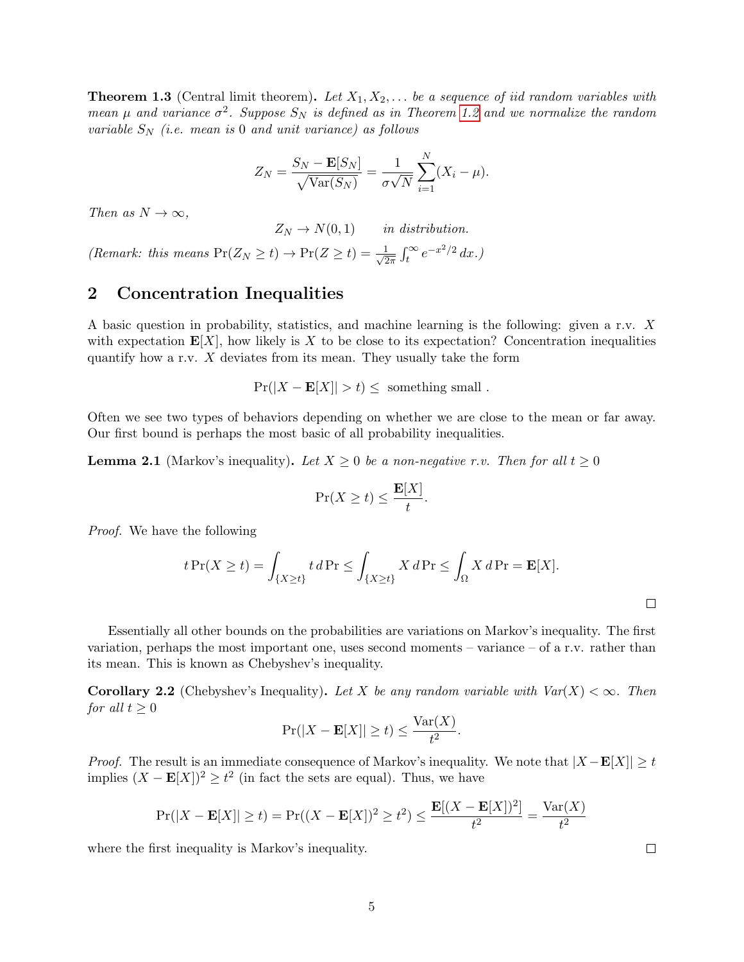<span id="page-4-1"></span>**Theorem 1.3** (Central limit theorem). Let  $X_1, X_2, \ldots$  be a sequence of iid random variables with mean  $\mu$  and variance  $\sigma^2$ . Suppose  $S_N$  is defined as in Theorem [1.2](#page-3-1) and we normalize the random variable  $S_N$  (i.e. mean is 0 and unit variance) as follows

$$
Z_N = \frac{S_N - \mathbf{E}[S_N]}{\sqrt{\text{Var}(S_N)}} = \frac{1}{\sigma\sqrt{N}}\sum_{i=1}^N (X_i - \mu).
$$

Then as  $N \to \infty$ ,

 $Z_N \to N(0, 1)$  in distribution.

(Remark: this means  $Pr(Z_N \ge t) \rightarrow Pr(Z \ge t) = \frac{1}{\sqrt{2}}$  $\frac{1}{2\pi} \int_t^\infty e^{-x^2/2} dx.$ 

## <span id="page-4-0"></span>2 Concentration Inequalities

A basic question in probability, statistics, and machine learning is the following: given a r.v. X with expectation  $E[X]$ , how likely is X to be close to its expectation? Concentration inequalities quantify how a r.v.  $X$  deviates from its mean. They usually take the form

$$
Pr(|X - E[X]| > t) \leq \text{ something small }.
$$

Often we see two types of behaviors depending on whether we are close to the mean or far away. Our first bound is perhaps the most basic of all probability inequalities.

<span id="page-4-2"></span>**Lemma 2.1** (Markov's inequality). Let  $X \geq 0$  be a non-negative r.v. Then for all  $t \geq 0$ 

$$
\Pr(X \ge t) \le \frac{\mathbf{E}[X]}{t}.
$$

Proof. We have the following

$$
t \Pr(X \ge t) = \int_{\{X \ge t\}} t \, d \Pr \le \int_{\{X \ge t\}} X \, d \Pr \le \int_{\Omega} X \, d \Pr = \mathbf{E}[X].
$$

Essentially all other bounds on the probabilities are variations on Markov's inequality. The first variation, perhaps the most important one, uses second moments – variance – of a r.v. rather than its mean. This is known as Chebyshev's inequality.

**Corollary 2.2** (Chebyshev's Inequality). Let X be any random variable with  $Var(X) < \infty$ . Then for all  $t \geq 0$ 

$$
\Pr(|X - \mathbf{E}[X]| \ge t) \le \frac{\text{Var}(X)}{t^2}.
$$

*Proof.* The result is an immediate consequence of Markov's inequality. We note that  $|X - \mathbf{E}[X]| \ge t$ implies  $(X - \mathbf{E}[X])^2 \ge t^2$  (in fact the sets are equal). Thus, we have

$$
\Pr(|X - \mathbf{E}[X]| \ge t) = \Pr((X - \mathbf{E}[X])^2 \ge t^2) \le \frac{\mathbf{E}[(X - \mathbf{E}[X])^2]}{t^2} = \frac{\text{Var}(X)}{t^2}
$$

where the first inequality is Markov's inequality.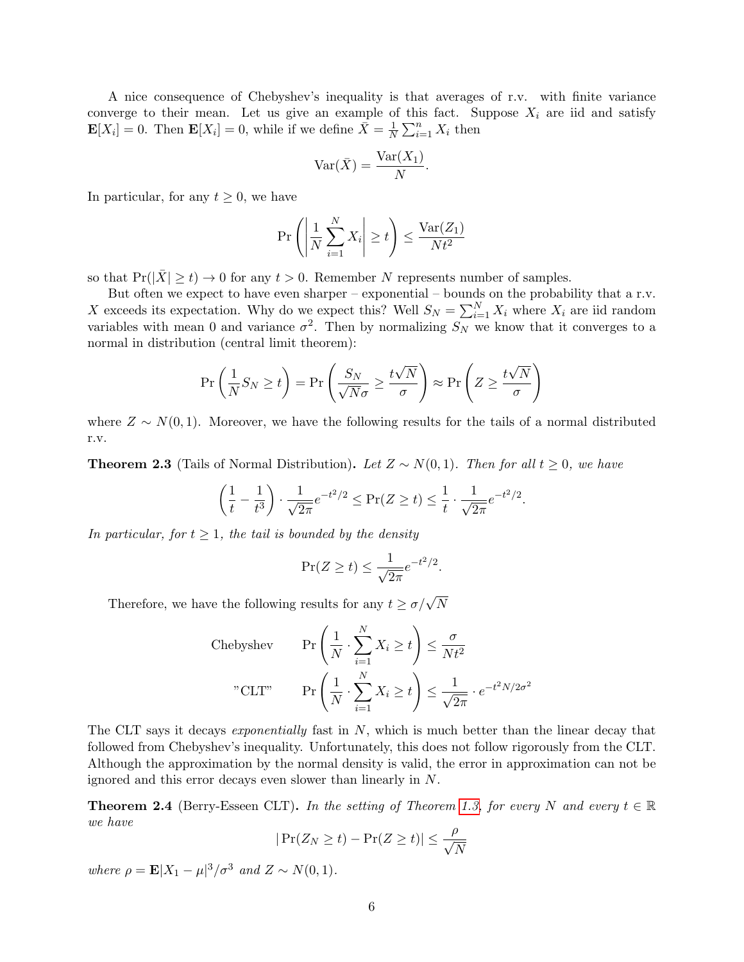A nice consequence of Chebyshev's inequality is that averages of r.v. with finite variance converge to their mean. Let us give an example of this fact. Suppose  $X_i$  are iid and satisfy  $\mathbf{E}[X_i] = 0$ . Then  $\mathbf{E}[X_i] = 0$ , while if we define  $\bar{X} = \frac{1}{N}$  $\frac{1}{N} \sum_{i=1}^{n} X_i$  then

$$
\text{Var}(\bar{X}) = \frac{\text{Var}(X_1)}{N}.
$$

In particular, for any  $t \geq 0$ , we have

$$
\Pr\left(\left|\frac{1}{N}\sum_{i=1}^{N}X_i\right|\geq t\right)\leq \frac{\text{Var}(Z_1)}{Nt^2}
$$

so that  $Pr(|\bar{X}| \ge t) \to 0$  for any  $t > 0$ . Remember N represents number of samples.

But often we expect to have even sharper – exponential – bounds on the probability that a r.v. X exceeds its expectation. Why do we expect this? Well  $S_N = \sum_{i=1}^N X_i$  where  $X_i$  are iid random variables with mean 0 and variance  $\sigma^2$ . Then by normalizing  $S_N$  we know that it converges to a normal in distribution (central limit theorem):

$$
\Pr\left(\frac{1}{N}S_N \ge t\right) = \Pr\left(\frac{S_N}{\sqrt{N}\sigma} \ge \frac{t\sqrt{N}}{\sigma}\right) \approx \Pr\left(Z \ge \frac{t\sqrt{N}}{\sigma}\right)
$$

where  $Z \sim N(0, 1)$ . Moreover, we have the following results for the tails of a normal distributed r.v.

<span id="page-5-0"></span>**Theorem 2.3** (Tails of Normal Distribution). Let  $Z \sim N(0, 1)$ . Then for all  $t \geq 0$ , we have

$$
\left(\frac{1}{t} - \frac{1}{t^3}\right) \cdot \frac{1}{\sqrt{2\pi}} e^{-t^2/2} \le \Pr(Z \ge t) \le \frac{1}{t} \cdot \frac{1}{\sqrt{2\pi}} e^{-t^2/2}.
$$

In particular, for  $t \geq 1$ , the tail is bounded by the density

$$
\Pr(Z \ge t) \le \frac{1}{\sqrt{2\pi}} e^{-t^2/2}.
$$

Therefore, we have the following results for any  $t \ge \sigma/\sqrt{N}$ 

Chebyshev 
$$
Pr\left(\frac{1}{N} \cdot \sum_{i=1}^{N} X_i \ge t\right) \le \frac{\sigma}{N t^2}
$$
  
"CLT"  $Pr\left(\frac{1}{N} \cdot \sum_{i=1}^{N} X_i \ge t\right) \le \frac{1}{\sqrt{2\pi}} \cdot e^{-t^2 N/2\sigma^2}$ 

The CLT says it decays *exponentially* fast in  $N$ , which is much better than the linear decay that followed from Chebyshev's inequality. Unfortunately, this does not follow rigorously from the CLT. Although the approximation by the normal density is valid, the error in approximation can not be ignored and this error decays even slower than linearly in N.

**Theorem 2.4** (Berry-Esseen CLT). In the setting of Theorem [1.3,](#page-4-1) for every N and every  $t \in \mathbb{R}$ we have

$$
|\Pr(Z_N \ge t) - \Pr(Z \ge t)| \le \frac{\rho}{\sqrt{N}}
$$

where  $\rho = \mathbf{E}|X_1 - \mu|^3 / \sigma^3$  and  $Z \sim N(0, 1)$ .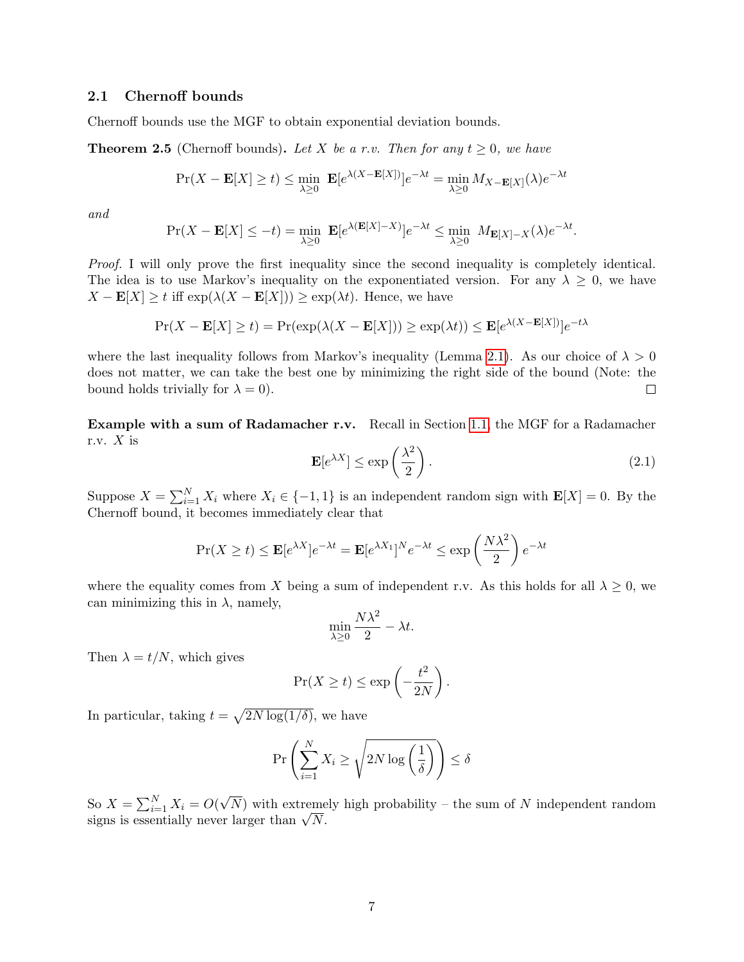#### <span id="page-6-0"></span>2.1 Chernoff bounds

Chernoff bounds use the MGF to obtain exponential deviation bounds.

<span id="page-6-2"></span>**Theorem 2.5** (Chernoff bounds). Let X be a r.v. Then for any  $t \geq 0$ , we have

$$
\Pr(X - \mathbf{E}[X] \ge t) \le \min_{\lambda \ge 0} \ \mathbf{E}[e^{\lambda(X - \mathbf{E}[X])}]e^{-\lambda t} = \min_{\lambda \ge 0} M_{X - \mathbf{E}[X]}(\lambda)e^{-\lambda t}
$$

and

$$
\Pr(X - \mathbf{E}[X] \le -t) = \min_{\lambda \ge 0} \mathbf{E}[e^{\lambda(\mathbf{E}[X] - X)}]e^{-\lambda t} \le \min_{\lambda \ge 0} M_{\mathbf{E}[X] - X}(\lambda)e^{-\lambda t}.
$$

Proof. I will only prove the first inequality since the second inequality is completely identical. The idea is to use Markov's inequality on the exponentiated version. For any  $\lambda \geq 0$ , we have  $X - \mathbf{E}[X] \ge t$  iff  $\exp(\lambda(X - \mathbf{E}[X])) \ge \exp(\lambda t)$ . Hence, we have

$$
\Pr(X - \mathbf{E}[X] \ge t) = \Pr(\exp(\lambda(X - \mathbf{E}[X])) \ge \exp(\lambda t)) \le \mathbf{E}[e^{\lambda(X - \mathbf{E}[X])}]e^{-t\lambda}
$$

where the last inequality follows from Markov's inequality (Lemma [2.1\)](#page-4-2). As our choice of  $\lambda > 0$ does not matter, we can take the best one by minimizing the right side of the bound (Note: the bound holds trivially for  $\lambda = 0$ .  $\Box$ 

Example with a sum of Radamacher r.v. Recall in Section [1.1,](#page-1-1) the MGF for a Radamacher r.v.  $X$  is

<span id="page-6-1"></span>
$$
\mathbf{E}[e^{\lambda X}] \le \exp\left(\frac{\lambda^2}{2}\right). \tag{2.1}
$$

Suppose  $X = \sum_{i=1}^{N} X_i$  where  $X_i \in \{-1, 1\}$  is an independent random sign with  $\mathbf{E}[X] = 0$ . By the Chernoff bound, it becomes immediately clear that

$$
\Pr(X \ge t) \le \mathbf{E}[e^{\lambda X}]e^{-\lambda t} = \mathbf{E}[e^{\lambda X_1}]^N e^{-\lambda t} \le \exp\left(\frac{N\lambda^2}{2}\right)e^{-\lambda t}
$$

where the equality comes from X being a sum of independent r.v. As this holds for all  $\lambda \geq 0$ , we can minimizing this in  $\lambda$ , namely,

$$
\min_{\lambda \ge 0} \frac{N\lambda^2}{2} - \lambda t.
$$

Then  $\lambda = t/N$ , which gives

$$
\Pr(X \ge t) \le \exp\left(-\frac{t^2}{2N}\right).
$$

In particular, taking  $t = \sqrt{2N \log(1/\delta)}$ , we have

$$
\Pr\left(\sum_{i=1}^{N} X_i \ge \sqrt{2N\log\left(\frac{1}{\delta}\right)}\right) \le \delta
$$

So  $X = \sum_{i=1}^{N} X_i = O(n)$ √  $N$ ) with extremely high probability – the sum of N independent random  $\int \mathcal{S}^{\alpha} \mathcal{S}^{\alpha} = \sum_{i=1}^{N} \Lambda_i = O(\sqrt{N})$  with extremestigns is essentially never larger than  $\sqrt{N}$ .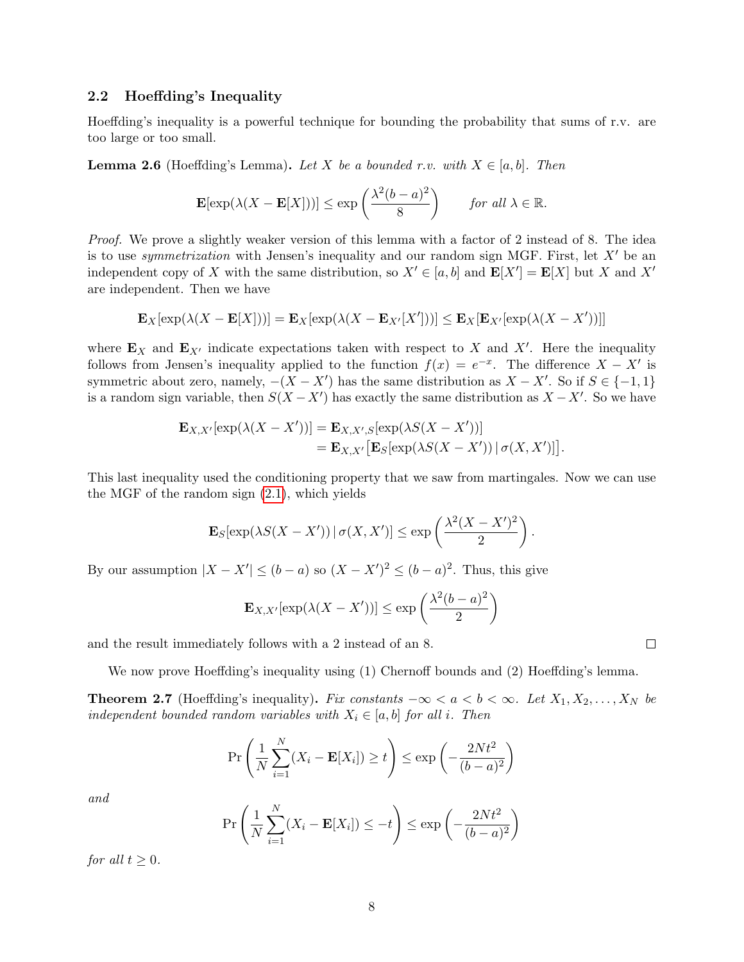#### <span id="page-7-0"></span>2.2 Hoeffding's Inequality

Hoeffding's inequality is a powerful technique for bounding the probability that sums of r.v. are too large or too small.

**Lemma 2.6** (Hoeffding's Lemma). Let X be a bounded r.v. with  $X \in [a, b]$ . Then

$$
\mathbf{E}[\exp(\lambda(X-\mathbf{E}[X]))] \le \exp\left(\frac{\lambda^2(b-a)^2}{8}\right) \quad \text{for all } \lambda \in \mathbb{R}.
$$

Proof. We prove a slightly weaker version of this lemma with a factor of 2 instead of 8. The idea is to use *symmetrization* with Jensen's inequality and our random sign MGF. First, let  $X'$  be an independent copy of X with the same distribution, so  $X' \in [a, b]$  and  $\mathbf{E}[X'] = \mathbf{E}[X]$  but X and X' are independent. Then we have

$$
\mathbf{E}_X[\exp(\lambda(X-\mathbf{E}[X]))] = \mathbf{E}_X[\exp(\lambda(X-\mathbf{E}_{X'}[X']))] \leq \mathbf{E}_X[\mathbf{E}_{X'}[\exp(\lambda(X-X'))]]
$$

where  $\mathbf{E}_X$  and  $\mathbf{E}_{X'}$  indicate expectations taken with respect to X and X'. Here the inequality follows from Jensen's inequality applied to the function  $f(x) = e^{-x}$ . The difference  $X - X'$  is symmetric about zero, namely,  $-(X - X')$  has the same distribution as  $X - X'$ . So if  $S \in \{-1, 1\}$ is a random sign variable, then  $S(X - X')$  has exactly the same distribution as  $X - X'$ . So we have

$$
\mathbf{E}_{X,X'}[\exp(\lambda(X-X'))] = \mathbf{E}_{X,X',S}[\exp(\lambda S(X-X'))]
$$
  
= 
$$
\mathbf{E}_{X,X'}[\mathbf{E}_S[\exp(\lambda S(X-X')) | \sigma(X,X')]]
$$
.

This last inequality used the conditioning property that we saw from martingales. Now we can use the MGF of the random sign [\(2.1\)](#page-6-1), which yields

$$
\mathbf{E}_{S}[\exp(\lambda S(X - X')) | \sigma(X, X')] \le \exp\left(\frac{\lambda^2 (X - X')^2}{2}\right).
$$

By our assumption  $|X - X'| \le (b - a)$  so  $(X - X')^2 \le (b - a)^2$ . Thus, this give

$$
\mathbf{E}_{X,X'}[\exp(\lambda(X-X'))] \le \exp\left(\frac{\lambda^2(b-a)^2}{2}\right)
$$

and the result immediately follows with a 2 instead of an 8.

We now prove Hoeffding's inequality using (1) Chernoff bounds and (2) Hoeffding's lemma.

**Theorem 2.7** (Hoeffding's inequality). Fix constants  $-\infty < a < b < \infty$ . Let  $X_1, X_2, \ldots, X_N$  be independent bounded random variables with  $X_i \in [a, b]$  for all i. Then

$$
\Pr\left(\frac{1}{N}\sum_{i=1}^{N}(X_i - \mathbf{E}[X_i]) \ge t\right) \le \exp\left(-\frac{2Nt^2}{(b-a)^2}\right)
$$

and

$$
\Pr\left(\frac{1}{N}\sum_{i=1}^{N}(X_i - \mathbf{E}[X_i]) \le -t\right) \le \exp\left(-\frac{2Nt^2}{(b-a)^2}\right)
$$

for all  $t \geq 0$ .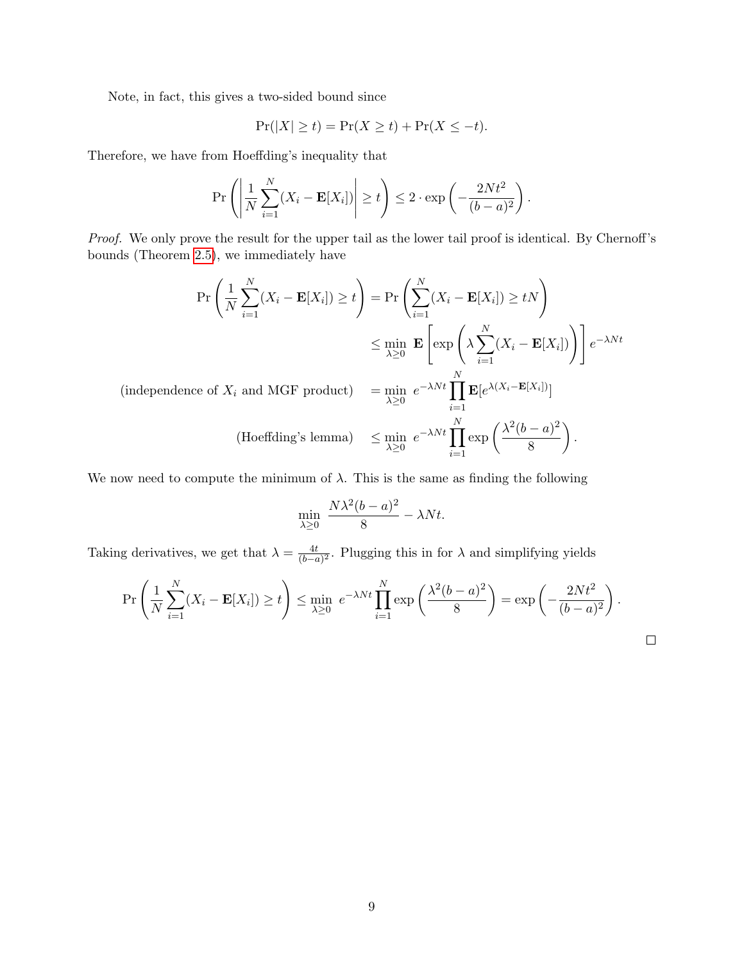Note, in fact, this gives a two-sided bound since

$$
\Pr(|X| \ge t) = \Pr(X \ge t) + \Pr(X \le -t).
$$

Therefore, we have from Hoeffding's inequality that

$$
\Pr\left(\left|\frac{1}{N}\sum_{i=1}^{N}(X_i - \mathbf{E}[X_i])\right| \ge t\right) \le 2 \cdot \exp\left(-\frac{2Nt^2}{(b-a)^2}\right).
$$

Proof. We only prove the result for the upper tail as the lower tail proof is identical. By Chernoff's bounds (Theorem [2.5\)](#page-6-2), we immediately have

$$
\Pr\left(\frac{1}{N}\sum_{i=1}^{N}(X_i - \mathbf{E}[X_i]) \ge t\right) = \Pr\left(\sum_{i=1}^{N}(X_i - \mathbf{E}[X_i]) \ge tN\right)
$$

$$
\le \min_{\lambda \ge 0} \mathbf{E}\left[\exp\left(\lambda \sum_{i=1}^{N}(X_i - \mathbf{E}[X_i])\right)\right]e^{-\lambda Nt}
$$
  
(independence of  $X_i$  and MGF product) 
$$
= \min_{\lambda \ge 0} e^{-\lambda Nt} \prod_{i=1}^{N} \mathbf{E}[e^{\lambda(X_i - \mathbf{E}[X_i])}]
$$
  
(Hoeffding's lemma) 
$$
\le \min_{\lambda \ge 0} e^{-\lambda Nt} \prod_{i=1}^{N} \exp\left(\frac{\lambda^2(b-a)^2}{8}\right).
$$

We now need to compute the minimum of  $\lambda$ . This is the same as finding the following

$$
\min_{\lambda \ge 0} \ \frac{N\lambda^2(b-a)^2}{8} - \lambda Nt.
$$

Taking derivatives, we get that  $\lambda = \frac{4t}{\sqrt{b-1}}$  $\frac{4t}{(b-a)^2}$ . Plugging this in for  $\lambda$  and simplifying yields

$$
\Pr\left(\frac{1}{N}\sum_{i=1}^{N}(X_i - \mathbf{E}[X_i]) \ge t\right) \le \min_{\lambda \ge 0} e^{-\lambda Nt} \prod_{i=1}^{N} \exp\left(\frac{\lambda^2(b-a)^2}{8}\right) = \exp\left(-\frac{2Nt^2}{(b-a)^2}\right).
$$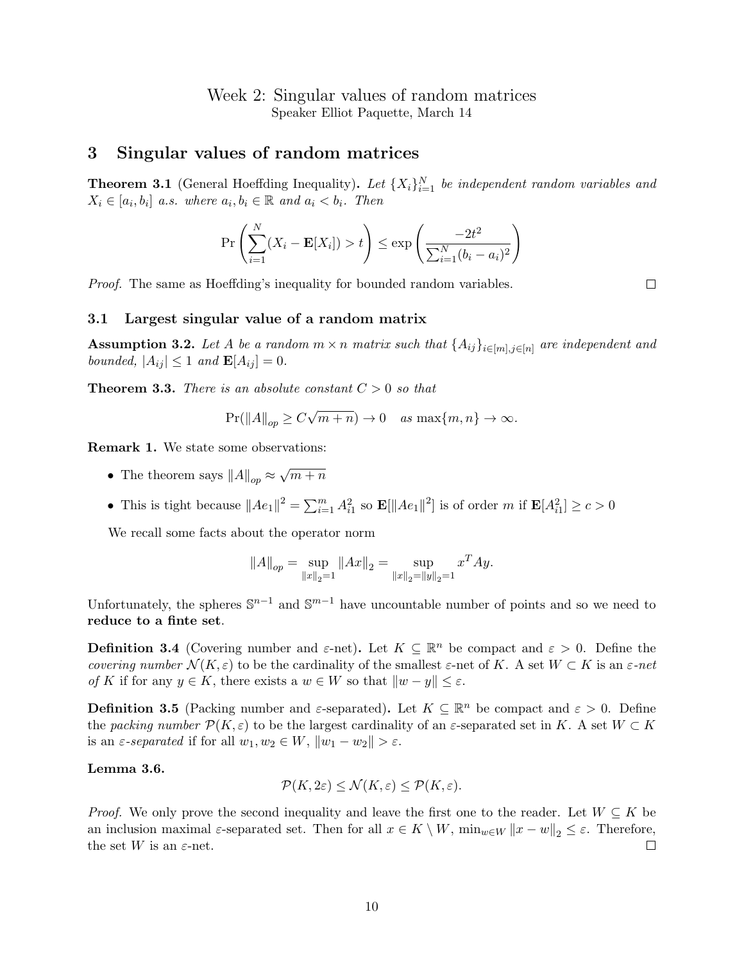## Week 2: Singular values of random matrices Speaker Elliot Paquette, March 14

## <span id="page-9-0"></span>3 Singular values of random matrices

<span id="page-9-3"></span>**Theorem 3.1** (General Hoeffding Inequality). Let  $\{X_i\}_{i=1}^N$  be independent random variables and  $X_i \in [a_i, b_i]$  a.s. where  $a_i, b_i \in \mathbb{R}$  and  $a_i < b_i$ . Then

$$
\Pr\left(\sum_{i=1}^{N} (X_i - \mathbf{E}[X_i]) > t\right) \le \exp\left(\frac{-2t^2}{\sum_{i=1}^{N} (b_i - a_i)^2}\right)
$$

Proof. The same as Hoeffding's inequality for bounded random variables.

 $\Box$ 

#### <span id="page-9-1"></span>3.1 Largest singular value of a random matrix

<span id="page-9-4"></span>**Assumption 3.2.** Let A be a random  $m \times n$  matrix such that  $\{A_{ij}\}_{i \in [m], j \in [n]}$  are independent and bounded,  $|A_{ij}| \leq 1$  and  $\mathbf{E}[A_{ij}] = 0$ .

<span id="page-9-2"></span>**Theorem 3.3.** There is an absolute constant  $C > 0$  so that

$$
\Pr(||A||_{op} \ge C\sqrt{m+n}) \to 0 \quad \text{as } \max\{m, n\} \to \infty.
$$

Remark 1. We state some observations:

- The theorem says  $||A||_{op} \approx$ √  $\frac{m+n}{n}$
- This is tight because  $||Ae_1||^2 = \sum_{i=1}^m A_{i1}^2$  so  $\mathbf{E}[\|Ae_1\|^2]$  is of order m if  $\mathbf{E}[A_{i1}^2] \ge c > 0$

We recall some facts about the operator norm

$$
||A||_{op} = \sup_{||x||_2=1} ||Ax||_2 = \sup_{||x||_2=||y||_2=1} x^T Ay.
$$

Unfortunately, the spheres  $\mathbb{S}^{n-1}$  and  $\mathbb{S}^{m-1}$  have uncountable number of points and so we need to reduce to a finte set.

**Definition 3.4** (Covering number and  $\varepsilon$ -net). Let  $K \subseteq \mathbb{R}^n$  be compact and  $\varepsilon > 0$ . Define the covering number  $\mathcal{N}(K, \varepsilon)$  to be the cardinality of the smallest  $\varepsilon$ -net of K. A set  $W \subset K$  is an  $\varepsilon$ -net of K if for any  $y \in K$ , there exists a  $w \in W$  so that  $||w - y|| \le \varepsilon$ .

**Definition 3.5** (Packing number and  $\varepsilon$ -separated). Let  $K \subseteq \mathbb{R}^n$  be compact and  $\varepsilon > 0$ . Define the packing number  $\mathcal{P}(K,\varepsilon)$  to be the largest cardinality of an  $\varepsilon$ -separated set in K. A set  $W\subset K$ is an  $\varepsilon$ -separated if for all  $w_1, w_2 \in W$ ,  $||w_1 - w_2|| > \varepsilon$ .

#### Lemma 3.6.

$$
\mathcal{P}(K,2\varepsilon) \le \mathcal{N}(K,\varepsilon) \le \mathcal{P}(K,\varepsilon).
$$

*Proof.* We only prove the second inequality and leave the first one to the reader. Let  $W \subseteq K$  be an inclusion maximal  $\varepsilon$ -separated set. Then for all  $x \in K \setminus W$ ,  $\min_{w \in W} ||x - w||_2 \le \varepsilon$ . Therefore, the set W is an  $\varepsilon$ -net.  $\Box$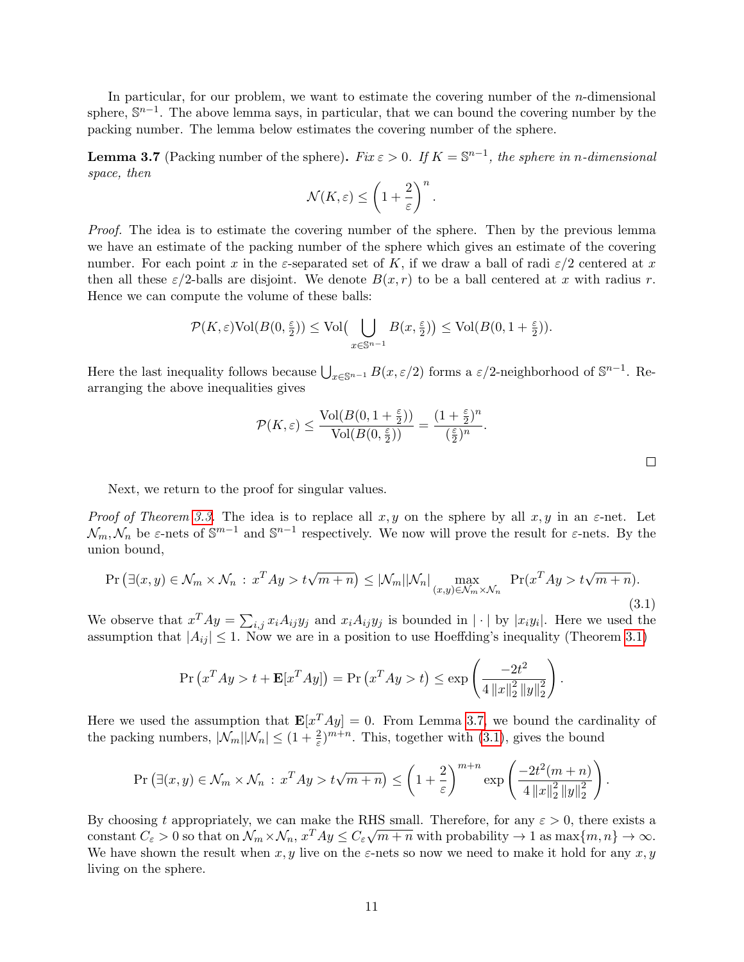In particular, for our problem, we want to estimate the covering number of the  $n$ -dimensional sphere,  $\mathbb{S}^{n-1}$ . The above lemma says, in particular, that we can bound the covering number by the packing number. The lemma below estimates the covering number of the sphere.

<span id="page-10-0"></span>**Lemma 3.7** (Packing number of the sphere). Fix  $\varepsilon > 0$ . If  $K = \mathbb{S}^{n-1}$ , the sphere in n-dimensional space, then

$$
\mathcal{N}(K,\varepsilon) \le \left(1 + \frac{2}{\varepsilon}\right)^n.
$$

Proof. The idea is to estimate the covering number of the sphere. Then by the previous lemma we have an estimate of the packing number of the sphere which gives an estimate of the covering number. For each point x in the  $\varepsilon$ -separated set of K, if we draw a ball of radi  $\varepsilon/2$  centered at x then all these  $\varepsilon/2$ -balls are disjoint. We denote  $B(x, r)$  to be a ball centered at x with radius r. Hence we can compute the volume of these balls:

$$
\mathcal{P}(K,\varepsilon)\mathrm{Vol}(B(0,\frac{\varepsilon}{2})) \le \mathrm{Vol}\big(\bigcup_{x\in\mathbb{S}^{n-1}} B(x,\frac{\varepsilon}{2})\big) \le \mathrm{Vol}(B(0,1+\frac{\varepsilon}{2})).
$$

Here the last inequality follows because  $\bigcup_{x\in\mathbb{S}^{n-1}} B(x,\varepsilon/2)$  forms a  $\varepsilon/2$ -neighborhood of  $\mathbb{S}^{n-1}$ . Rearranging the above inequalities gives

$$
\mathcal{P}(K,\varepsilon)\leq \frac{\text{Vol}(B(0,1+\frac{\varepsilon}{2}))}{\text{Vol}(B(0,\frac{\varepsilon}{2}))}=\frac{(1+\frac{\varepsilon}{2})^n}{(\frac{\varepsilon}{2})^n}.
$$

Next, we return to the proof for singular values.

Proof of Theorem [3.3.](#page-9-2) The idea is to replace all  $x, y$  on the sphere by all  $x, y$  in an  $\varepsilon$ -net. Let  $\mathcal{N}_m, \mathcal{N}_n$  be  $\varepsilon$ -nets of  $\mathbb{S}^{m-1}$  and  $\mathbb{S}^{n-1}$  respectively. We now will prove the result for  $\varepsilon$ -nets. By the union bound,

<span id="page-10-1"></span>
$$
\Pr\left(\exists (x, y) \in \mathcal{N}_m \times \mathcal{N}_n : x^T A y > t\sqrt{m+n}\right) \le |\mathcal{N}_m||\mathcal{N}_n| \max_{(x, y) \in \mathcal{N}_m \times \mathcal{N}_n} \Pr(x^T A y > t\sqrt{m+n}).\tag{3.1}
$$

We observe that  $x^T A y = \sum_{i,j} x_i A_{ij} y_j$  and  $x_i A_{ij} y_j$  is bounded in  $|\cdot|$  by  $|x_i y_i|$ . Here we used the assumption that  $|A_{ij}| \leq 1$ . Now we are in a position to use Hoeffding's inequality (Theorem [3.1\)](#page-9-3)

$$
\Pr\left(x^T A y > t + \mathbf{E}[x^T A y]\right) = \Pr\left(x^T A y > t\right) \le \exp\left(\frac{-2t^2}{4\left\|x\right\|_2^2\left\|y\right\|_2^2}\right).
$$

Here we used the assumption that  $\mathbf{E}[x^T A y] = 0$ . From Lemma [3.7,](#page-10-0) we bound the cardinality of the packing numbers,  $|\mathcal{N}_m||\mathcal{N}_n| \leq (1 + \frac{2}{\varepsilon})^{m+n}$ . This, together with [\(3.1\)](#page-10-1), gives the bound

$$
\Pr\left(\exists (x, y) \in \mathcal{N}_m \times \mathcal{N}_n : x^T A y > t\sqrt{m+n}\right) \le \left(1 + \frac{2}{\varepsilon}\right)^{m+n} \exp\left(\frac{-2t^2(m+n)}{4\left\|x\right\|_2^2 \left\|y\right\|_2^2}\right)
$$

By choosing t appropriately, we can make the RHS small. Therefore, for any  $\varepsilon > 0$ , there exists a constant  $C_{\varepsilon} > 0$  so that on  $\mathcal{N}_m \times \mathcal{N}_n$ ,  $x^T A y \leq C_{\varepsilon} \sqrt{m+n}$  with probability  $\to 1$  as  $\max\{m, n\} \to \infty$ . We have shown the result when  $x, y$  live on the  $\varepsilon$ -nets so now we need to make it hold for any  $x, y$ living on the sphere.

 $\Box$ 

.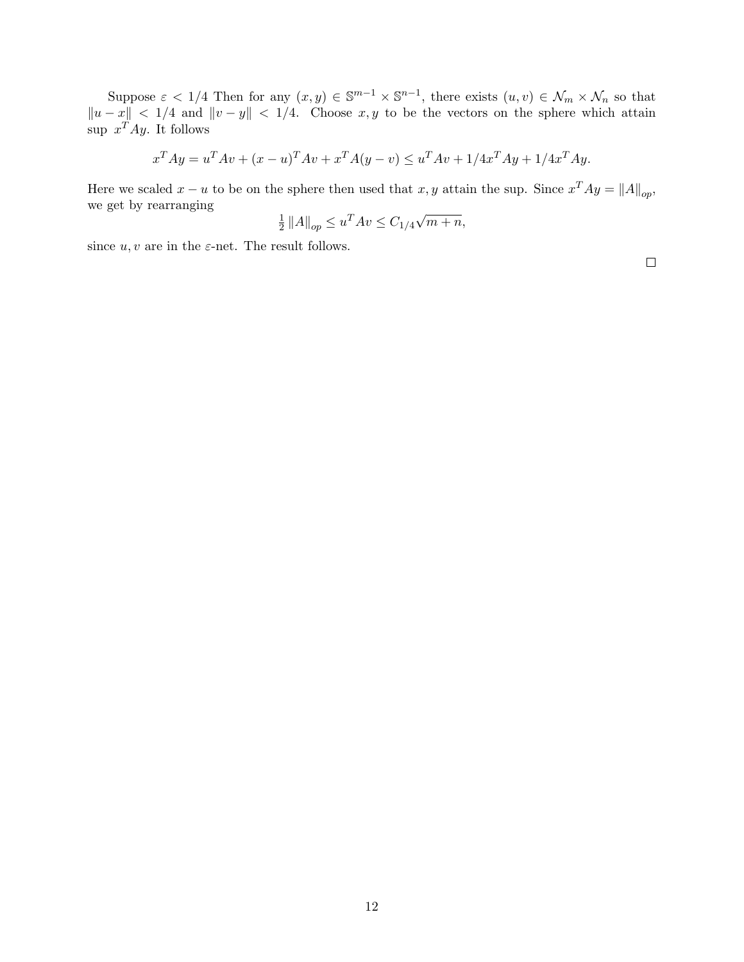Suppose  $\varepsilon < 1/4$  Then for any  $(x, y) \in \mathbb{S}^{m-1} \times \mathbb{S}^{n-1}$ , there exists  $(u, v) \in \mathcal{N}_m \times \mathcal{N}_n$  so that  $||u - x|| < 1/4$  and  $||v - y|| < 1/4$ . Choose x, y to be the vectors on the sphere which attain sup  $x^T A y$ . It follows

$$
x^T A y = u^T A v + (x - u)^T A v + x^T A (y - v) \le u^T A v + 1/4 x^T A y + 1/4 x^T A y.
$$

Here we scaled  $x - u$  to be on the sphere then used that  $x, y$  attain the sup. Since  $x^T A y = ||A||_{op}$ , we get by rearranging √

$$
\frac{1}{2} ||A||_{op} \le u^T A v \le C_{1/4} \sqrt{m+n},
$$

since  $u, v$  are in the  $\varepsilon$ -net. The result follows.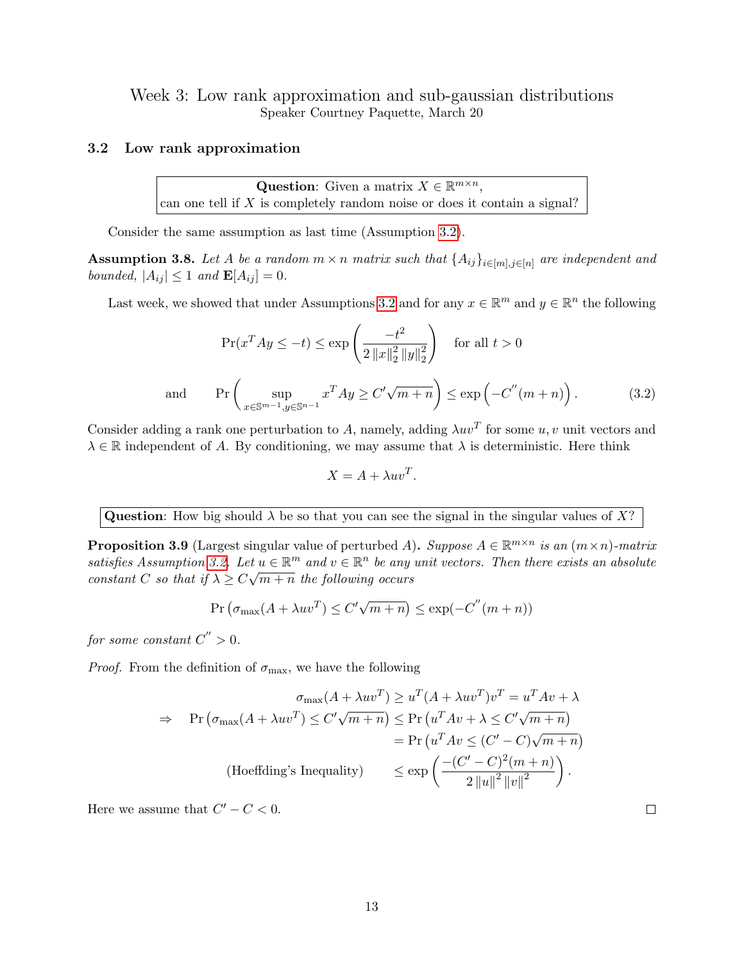Week 3: Low rank approximation and sub-gaussian distributions Speaker Courtney Paquette, March 20

### <span id="page-12-0"></span>3.2 Low rank approximation

Question: Given a matrix  $X \in \mathbb{R}^{m \times n}$ , can one tell if  $X$  is completely random noise or does it contain a signal?

Consider the same assumption as last time (Assumption [3.2\)](#page-9-4).

**Assumption 3.8.** Let A be a random  $m \times n$  matrix such that  $\{A_{ij}\}_{i \in [m], j \in [n]}$  are independent and bounded,  $|A_{ij}| \leq 1$  and  $\mathbf{E}[A_{ij}] = 0$ .

Last week, we showed that under Assumptions [3.2](#page-9-4) and for any  $x \in \mathbb{R}^m$  and  $y \in \mathbb{R}^n$  the following

<span id="page-12-1"></span>
$$
\Pr(x^T A y \le -t) \le \exp\left(\frac{-t^2}{2\|x\|_2^2 \|y\|_2^2}\right) \quad \text{for all } t > 0
$$
  
and 
$$
\Pr\left(\sup_{x \in \mathbb{S}^{m-1}, y \in \mathbb{S}^{n-1}} x^T A y \ge C'\sqrt{m+n}\right) \le \exp\left(-C''(m+n)\right).
$$
 (3.2)

Consider adding a rank one perturbation to A, namely, adding  $\lambda uv^T$  for some u, v unit vectors and  $\lambda \in \mathbb{R}$  independent of A. By conditioning, we may assume that  $\lambda$  is deterministic. Here think

$$
X = A + \lambda uv^T.
$$

**Question:** How big should  $\lambda$  be so that you can see the signal in the singular values of X?

**Proposition 3.9** (Largest singular value of perturbed A). Suppose  $A \in \mathbb{R}^{m \times n}$  is an  $(m \times n)$ -matrix satisfies Assumption [3.2.](#page-9-4) Let  $u \in \mathbb{R}^m$  and  $v \in \mathbb{R}^n$  be any unit vectors. Then there exists an absolute constant C so that if  $\lambda \geq C\sqrt{m+n}$  the following occurs

$$
Pr(\sigma_{\max}(A + \lambda uv^T) \le C'\sqrt{m+n}) \le \exp(-C''(m+n))
$$

for some constant  $C^{''}>0$ .

*Proof.* From the definition of  $\sigma_{\text{max}}$ , we have the following

$$
\sigma_{\max}(A + \lambda uv^T) \ge u^T (A + \lambda uv^T) v^T = u^T A v + \lambda
$$
  
\n
$$
\Rightarrow \quad \Pr (\sigma_{\max}(A + \lambda uv^T) \le C' \sqrt{m + n}) \le \Pr (u^T A v + \lambda \le C' \sqrt{m + n})
$$
  
\n
$$
= \Pr (u^T A v \le (C' - C) \sqrt{m + n})
$$
  
\n(Hoeffding's Inequality) 
$$
\le \exp \left(\frac{-(C' - C)^2 (m + n)}{2 \|u\|^2 \|v\|^2}\right).
$$

Here we assume that  $C' - C < 0$ .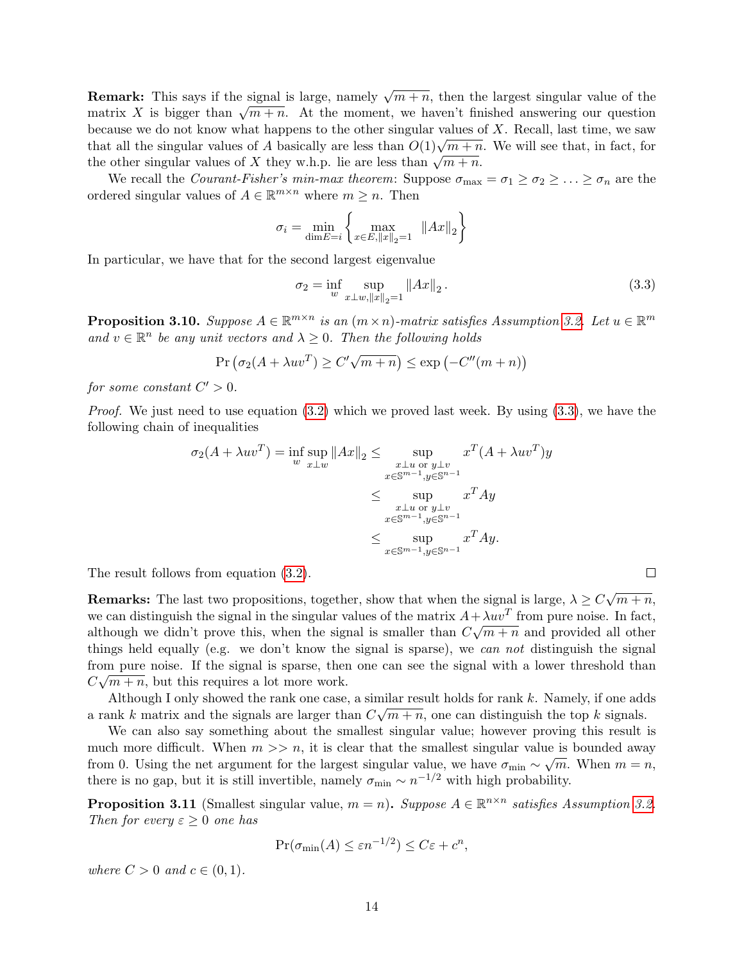**Remark:** This says if the signal is large, namely  $\sqrt{m+n}$ , then the largest singular value of the **The matrix X** is bigger than  $\sqrt{m+n}$ . At the moment, we haven't finished answering our question because we do not know what happens to the other singular values of  $X$ . Recall, last time, we saw that all the singular values of A basically are less than  $O(1)\sqrt{m+n}$ . We will see that, in fact, for the other singular values of X they w.h.p. lie are less than  $\sqrt{m+n}$ .<br>the other singular values of X they w.h.p. lie are less than  $\sqrt{m+n}$ .

We recall the *Courant-Fisher's min-max theorem*: Suppose  $\sigma_{\text{max}} = \sigma_1 \geq \sigma_2 \geq \ldots \geq \sigma_n$  are the ordered singular values of  $A \in \mathbb{R}^{m \times n}$  where  $m \geq n$ . Then

$$
\sigma_i = \min_{\dim E = i} \left\{ \max_{x \in E, ||x||_2 = 1} ||Ax||_2 \right\}
$$

In particular, we have that for the second largest eigenvalue

<span id="page-13-0"></span>
$$
\sigma_2 = \inf_{w} \sup_{x \perp w, \|x\|_2 = 1} \|Ax\|_2.
$$
\n(3.3)

**Proposition 3.10.** Suppose  $A \in \mathbb{R}^{m \times n}$  is an  $(m \times n)$ -matrix satisfies Assumption [3.2.](#page-9-4) Let  $u \in \mathbb{R}^m$ and  $v \in \mathbb{R}^n$  be any unit vectors and  $\lambda \geq 0$ . Then the following holds

$$
Pr(\sigma_2(A + \lambda uv^T) \ge C'\sqrt{m+n}) \le \exp(-C''(m+n))
$$

for some constant  $C' > 0$ .

*Proof.* We just need to use equation  $(3.2)$  which we proved last week. By using  $(3.3)$ , we have the following chain of inequalities

$$
\sigma_2(A + \lambda uv^T) = \inf_{w} \sup_{x \perp w} ||Ax||_2 \le \sup_{\substack{x \perp u \text{ or } y \perp v \\ x \in \mathbb{S}^{m-1}, y \in \mathbb{S}^{n-1}}} x^T (A + \lambda uv^T) y
$$

$$
\le \sup_{\substack{x \perp u \text{ or } y \perp v \\ x \in \mathbb{S}^{m-1}, y \in \mathbb{S}^{n-1}}} x^T A y
$$

$$
\le \sup_{x \in \mathbb{S}^{m-1}, y \in \mathbb{S}^{n-1}} x^T A y.
$$

The result follows from equation [\(3.2\)](#page-12-1).

**Remarks:** The last two propositions, together, show that when the signal is large,  $\lambda \geq C$ √  $\overline{m + n}$ , we can distinguish the signal in the singular values of the matrix  $A + \lambda uv^T$  from pure noise. In fact, although we didn't prove this, when the signal is smaller than  $C\sqrt{m+n}$  and provided all other things held equally (e.g. we don't know the signal is sparse), we can not distinguish the signal from pure noise. If the signal is sparse, then one can see the signal with a lower threshold than  $C\sqrt{m+n}$ , but this requires a lot more work.

Although I only showed the rank one case, a similar result holds for rank k. Namely, if one adds a rank k matrix and the signals are larger than  $C\sqrt{m+n}$ , one can distinguish the top k signals.

We can also say something about the smallest singular value; however proving this result is much more difficult. When  $m \gg n$ , it is clear that the smallest singular value is bounded away from 0. Using the net argument for the largest singular value, we have  $\sigma_{\min} \sim \sqrt{m}$ . When  $m = n$ , there is no gap, but it is still invertible, namely  $\sigma_{\min} \sim n^{-1/2}$  with high probability.

**Proposition 3.11** (Smallest singular value,  $m = n$ ). Suppose  $A \in \mathbb{R}^{n \times n}$  satisfies Assumption [3.2.](#page-9-4) Then for every  $\varepsilon \geq 0$  one has

$$
\Pr(\sigma_{\min}(A) \le \varepsilon n^{-1/2}) \le C\varepsilon + c^n,
$$

where  $C > 0$  and  $c \in (0, 1)$ .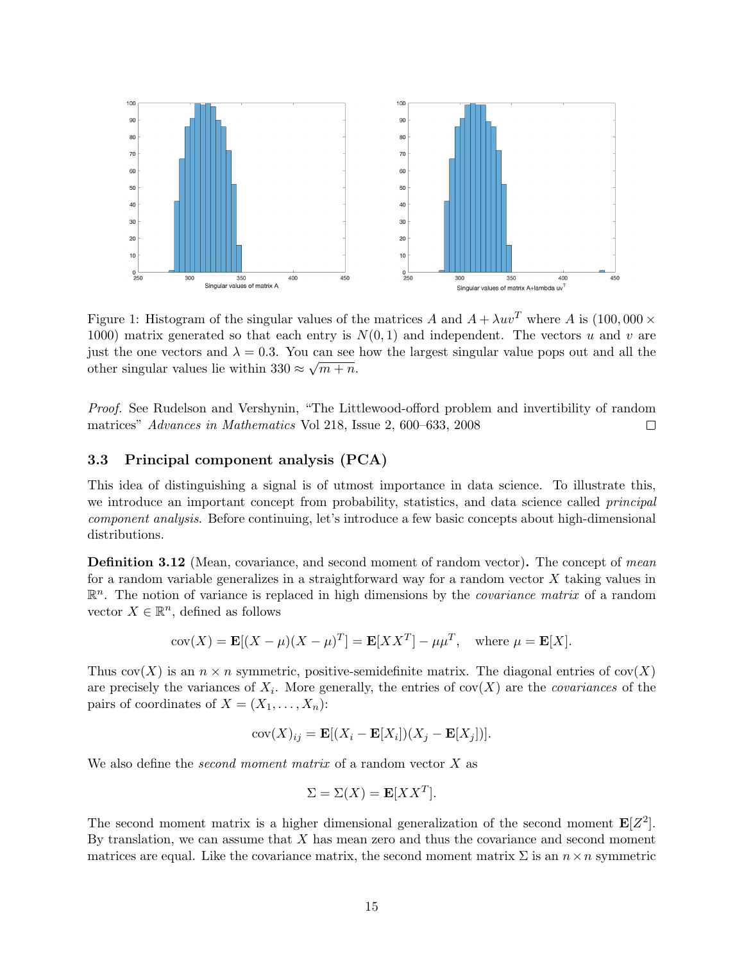

Figure 1: Histogram of the singular values of the matrices A and  $A + \lambda uv^T$  where A is (100,000  $\times$ 1000) matrix generated so that each entry is  $N(0, 1)$  and independent. The vectors u and v are just the one vectors and  $\lambda = 0.3$ . You can see how the largest singular value pops out and all the other singular values lie within  $330 \approx \sqrt{m+n}$ .

Proof. See Rudelson and Vershynin, "The Littlewood-offord problem and invertibility of random matrices" Advances in Mathematics Vol 218, Issue 2, 600–633, 2008  $\Box$ 

#### <span id="page-14-0"></span>3.3 Principal component analysis (PCA)

This idea of distinguishing a signal is of utmost importance in data science. To illustrate this, we introduce an important concept from probability, statistics, and data science called *principal* component analysis. Before continuing, let's introduce a few basic concepts about high-dimensional distributions.

**Definition 3.12** (Mean, covariance, and second moment of random vector). The concept of mean for a random variable generalizes in a straightforward way for a random vector  $X$  taking values in  $\mathbb{R}^n$ . The notion of variance is replaced in high dimensions by the *covariance matrix* of a random vector  $X \in \mathbb{R}^n$ , defined as follows

$$
cov(X) = \mathbf{E}[(X - \mu)(X - \mu)^T] = \mathbf{E}[XX^T] - \mu\mu^T, \text{ where } \mu = \mathbf{E}[X].
$$

Thus  $cov(X)$  is an  $n \times n$  symmetric, positive-semidefinite matrix. The diagonal entries of  $cov(X)$ are precisely the variances of  $X_i$ . More generally, the entries of cov $(X)$  are the *covariances* of the pairs of coordinates of  $X = (X_1, \ldots, X_n)$ :

$$
cov(X)_{ij} = \mathbf{E}[(X_i - \mathbf{E}[X_i])(X_j - \mathbf{E}[X_j])].
$$

We also define the *second moment matrix* of a random vector  $X$  as

$$
\Sigma = \Sigma(X) = \mathbf{E}[XX^T].
$$

The second moment matrix is a higher dimensional generalization of the second moment  $\mathbf{E}[Z^2]$ . By translation, we can assume that  $X$  has mean zero and thus the covariance and second moment matrices are equal. Like the covariance matrix, the second moment matrix  $\Sigma$  is an  $n \times n$  symmetric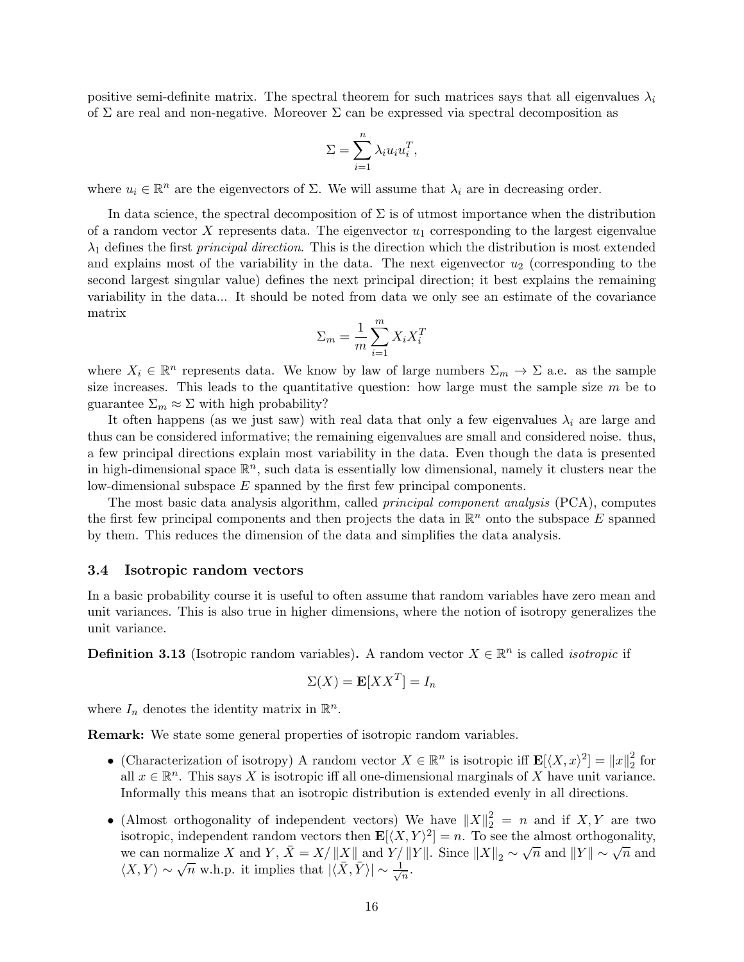positive semi-definite matrix. The spectral theorem for such matrices says that all eigenvalues  $\lambda_i$ of  $\Sigma$  are real and non-negative. Moreover  $\Sigma$  can be expressed via spectral decomposition as

$$
\Sigma = \sum_{i=1}^{n} \lambda_i u_i u_i^T,
$$

where  $u_i \in \mathbb{R}^n$  are the eigenvectors of  $\Sigma$ . We will assume that  $\lambda_i$  are in decreasing order.

In data science, the spectral decomposition of  $\Sigma$  is of utmost importance when the distribution of a random vector X represents data. The eigenvector  $u_1$  corresponding to the largest eigenvalue  $\lambda_1$  defines the first *principal direction*. This is the direction which the distribution is most extended and explains most of the variability in the data. The next eigenvector  $u_2$  (corresponding to the second largest singular value) defines the next principal direction; it best explains the remaining variability in the data... It should be noted from data we only see an estimate of the covariance matrix

$$
\Sigma_m = \frac{1}{m} \sum_{i=1}^m X_i X_i^T
$$

where  $X_i \in \mathbb{R}^n$  represents data. We know by law of large numbers  $\Sigma_m \to \Sigma$  a.e. as the sample size increases. This leads to the quantitative question: how large must the sample size  $m$  be to guarantee  $\Sigma_m \approx \Sigma$  with high probability?

It often happens (as we just saw) with real data that only a few eigenvalues  $\lambda_i$  are large and thus can be considered informative; the remaining eigenvalues are small and considered noise. thus, a few principal directions explain most variability in the data. Even though the data is presented in high-dimensional space  $\mathbb{R}^n$ , such data is essentially low dimensional, namely it clusters near the low-dimensional subspace E spanned by the first few principal components.

The most basic data analysis algorithm, called principal component analysis (PCA), computes the first few principal components and then projects the data in  $\mathbb{R}^n$  onto the subspace E spanned by them. This reduces the dimension of the data and simplifies the data analysis.

#### <span id="page-15-0"></span>3.4 Isotropic random vectors

In a basic probability course it is useful to often assume that random variables have zero mean and unit variances. This is also true in higher dimensions, where the notion of isotropy generalizes the unit variance.

**Definition 3.13** (Isotropic random variables). A random vector  $X \in \mathbb{R}^n$  is called *isotropic* if

$$
\Sigma(X) = \mathbf{E}[XX^T] = I_n
$$

where  $I_n$  denotes the identity matrix in  $\mathbb{R}^n$ .

Remark: We state some general properties of isotropic random variables.

- (Characterization of isotropy) A random vector  $X \in \mathbb{R}^n$  is isotropic iff  $\mathbf{E}[\langle X, x \rangle^2] = ||x||_2^2$  $rac{2}{2}$  for all  $x \in \mathbb{R}^n$ . This says X is isotropic iff all one-dimensional marginals of X have unit variance. Informally this means that an isotropic distribution is extended evenly in all directions.
- (Almost orthogonality of independent vectors) We have  $||X||_2^2 = n$  and if X, Y are two isotropic, independent random vectors then  $\mathbf{E}[\langle X, Y \rangle^2] = n$ . To see the almost orthogonality, we can normalize X and Y,  $\bar{X} = X/||X||$  and  $Y/||Y||$ . Since  $||X||_2 \sim \sqrt{n}$  and  $||Y|| \sim \sqrt{n}$  and we can normanze  $\overline{X}$  and  $\overline{T}$ ,  $\overline{X} = \overline{X}/||\overline{X}||$  and  $\overline{T}$ <br> $\langle \overline{X}, \overline{Y} \rangle \sim \sqrt{n}$  w.h.p. it implies that  $|\langle \overline{X}, \overline{Y} \rangle| \sim \frac{1}{\sqrt{n}}$  $\frac{1}{n}$ .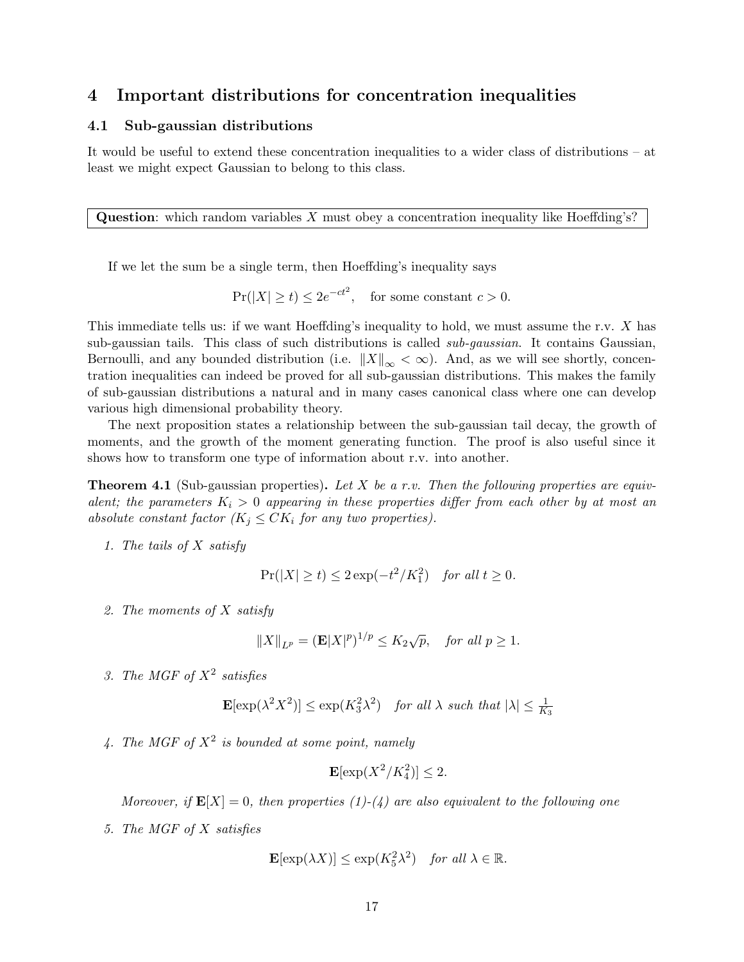## <span id="page-16-0"></span>4 Important distributions for concentration inequalities

#### <span id="page-16-1"></span>4.1 Sub-gaussian distributions

It would be useful to extend these concentration inequalities to a wider class of distributions – at least we might expect Gaussian to belong to this class.

**Question:** which random variables X must obey a concentration inequality like Hoeffding's?

If we let the sum be a single term, then Hoeffding's inequality says

$$
\Pr(|X| \ge t) \le 2e^{-ct^2}, \quad \text{for some constant } c > 0.
$$

This immediate tells us: if we want Hoeffding's inequality to hold, we must assume the r.v. X has sub-gaussian tails. This class of such distributions is called sub-gaussian. It contains Gaussian, Bernoulli, and any bounded distribution (i.e.  $||X||_{\infty} < \infty$ ). And, as we will see shortly, concentration inequalities can indeed be proved for all sub-gaussian distributions. This makes the family of sub-gaussian distributions a natural and in many cases canonical class where one can develop various high dimensional probability theory.

The next proposition states a relationship between the sub-gaussian tail decay, the growth of moments, and the growth of the moment generating function. The proof is also useful since it shows how to transform one type of information about r.v. into another.

<span id="page-16-2"></span>**Theorem 4.1** (Sub-gaussian properties). Let X be a r.v. Then the following properties are equivalent; the parameters  $K_i > 0$  appearing in these properties differ from each other by at most an absolute constant factor  $(K_j \leq CK_i$  for any two properties).

1. The tails of X satisfy

$$
\Pr(|X| \ge t) \le 2\exp(-t^2/K_1^2) \quad \text{for all } t \ge 0.
$$

2. The moments of X satisfy

$$
||X||_{L^p} = (\mathbf{E}|X|^p)^{1/p} \le K_2\sqrt{p}, \quad \text{for all } p \ge 1.
$$

3. The MGF of  $X^2$  satisfies

$$
\mathbf{E}[\exp(\lambda^2 X^2)] \le \exp(K_3^2 \lambda^2) \quad \text{for all } \lambda \text{ such that } |\lambda| \le \frac{1}{K_3}
$$

4. The MGF of  $X^2$  is bounded at some point, namely

$$
\mathbf{E}[\exp(X^2/K_4^2)] \le 2.
$$

Moreover, if  $\mathbf{E}[X] = 0$ , then properties (1)-(4) are also equivalent to the following one

5. The MGF of X satisfies

$$
\mathbf{E}[\exp(\lambda X)] \le \exp(K_5^2 \lambda^2) \quad \text{for all } \lambda \in \mathbb{R}.
$$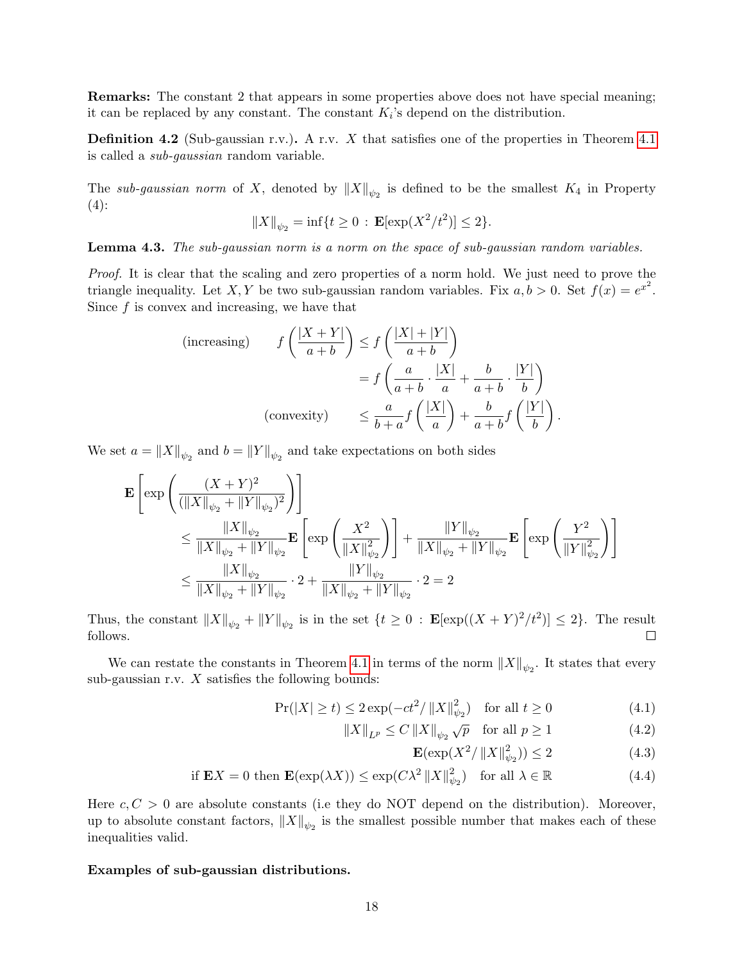Remarks: The constant 2 that appears in some properties above does not have special meaning; it can be replaced by any constant. The constant  $K_i$ 's depend on the distribution.

**Definition 4.2** (Sub-gaussian r.v.). A r.v. X that satisfies one of the properties in Theorem [4.1](#page-16-2) is called a sub-gaussian random variable.

The sub-gaussian norm of X, denoted by  $||X||_{\psi_2}$  is defined to be the smallest  $K_4$  in Property  $(4)$ :

$$
||X||_{\psi_2} = \inf\{t \ge 0 : \mathbf{E}[\exp(X^2/t^2)] \le 2\}.
$$

Lemma 4.3. The sub-gaussian norm is a norm on the space of sub-gaussian random variables.

Proof. It is clear that the scaling and zero properties of a norm hold. We just need to prove the triangle inequality. Let X, Y be two sub-gaussian random variables. Fix  $a, b > 0$ . Set  $f(x) = e^{x^2}$ . Since  $f$  is convex and increasing, we have that

(increasing) 
$$
f\left(\frac{|X+Y|}{a+b}\right) \le f\left(\frac{|X|+|Y|}{a+b}\right)
$$
  

$$
= f\left(\frac{a}{a+b} \cdot \frac{|X|}{a} + \frac{b}{a+b} \cdot \frac{|Y|}{b}\right)
$$
  
(convexity) 
$$
\le \frac{a}{b+a} f\left(\frac{|X|}{a}\right) + \frac{b}{a+b} f\left(\frac{|Y|}{b}\right).
$$

We set  $a = \|X\|_{\psi_2}$  and  $b = \|Y\|_{\psi_2}$  and take expectations on both sides

$$
\mathbf{E}\left[\exp\left(\frac{(X+Y)^2}{(\|X\|_{\psi_2} + \|Y\|_{\psi_2})^2}\right)\right] \n\leq \frac{\|X\|_{\psi_2}}{\|X\|_{\psi_2} + \|Y\|_{\psi_2}} \mathbf{E}\left[\exp\left(\frac{X^2}{\|X\|_{\psi_2}^2}\right)\right] + \frac{\|Y\|_{\psi_2}}{\|X\|_{\psi_2} + \|Y\|_{\psi_2}} \mathbf{E}\left[\exp\left(\frac{Y^2}{\|Y\|_{\psi_2}^2}\right)\right] \n\leq \frac{\|X\|_{\psi_2}}{\|X\|_{\psi_2} + \|Y\|_{\psi_2}} \cdot 2 + \frac{\|Y\|_{\psi_2}}{\|X\|_{\psi_2} + \|Y\|_{\psi_2}} \cdot 2 = 2
$$

Thus, the constant  $||X||_{\psi_2} + ||Y||_{\psi_2}$  is in the set  $\{t \geq 0 : \mathbf{E}[\exp((X+Y)^2/t^2)] \leq 2\}$ . The result follows.  $\Box$ 

We can restate the constants in Theorem [4.1](#page-16-2) in terms of the norm  $||X||_{\psi_2}$ . It states that every sub-gaussian r.v.  $X$  satisfies the following bounds:

$$
\Pr(|X| \ge t) \le 2\exp(-ct^2/\|X\|_{\psi_2}^2) \quad \text{for all } t \ge 0 \tag{4.1}
$$

$$
||X||_{L^{p}} \le C ||X||_{\psi_2} \sqrt{p} \quad \text{for all } p \ge 1
$$
 (4.2)

$$
\mathbf{E}(\exp(X^2/\left\|X\right\|_{\psi_2}^2)) \le 2\tag{4.3}
$$

if 
$$
\mathbf{E}X = 0
$$
 then  $\mathbf{E}(\exp(\lambda X)) \le \exp(C\lambda^2 ||X||_{\psi_2}^2)$  for all  $\lambda \in \mathbb{R}$  (4.4)

Here  $c, C > 0$  are absolute constants (i.e they do NOT depend on the distribution). Moreover, up to absolute constant factors,  $||X||_{\psi_2}$  is the smallest possible number that makes each of these inequalities valid.

#### Examples of sub-gaussian distributions.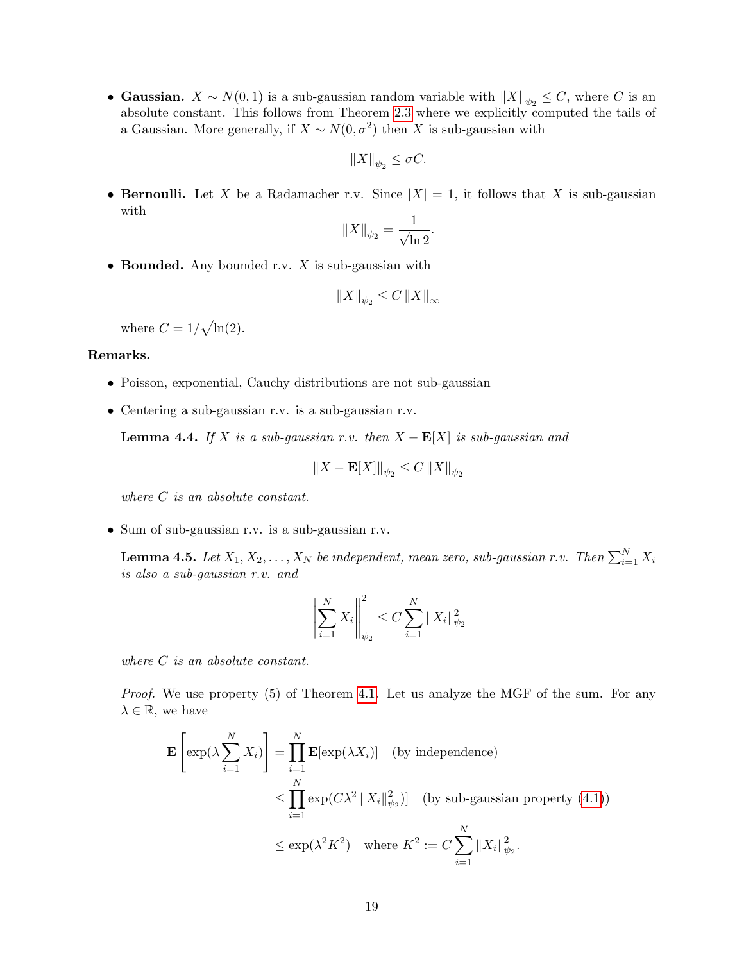• Gaussian.  $X \sim N(0, 1)$  is a sub-gaussian random variable with  $||X||_{\psi_2} \leq C$ , where C is an absolute constant. This follows from Theorem [2.3](#page-5-0) where we explicitly computed the tails of a Gaussian. More generally, if  $X \sim N(0, \sigma^2)$  then X is sub-gaussian with

$$
\|X\|_{\psi_2}\leq \sigma C.
$$

• Bernoulli. Let X be a Radamacher r.v. Since  $|X| = 1$ , it follows that X is sub-gaussian with

$$
||X||_{\psi_2} = \frac{1}{\sqrt{\ln 2}}.
$$

• Bounded. Any bounded r.v.  $X$  is sub-gaussian with

$$
||X||_{\psi_2} \le C ||X||_{\infty}
$$

where  $C = 1/\sqrt{\ln(2)}$ .

#### Remarks.

- Poisson, exponential, Cauchy distributions are not sub-gaussian
- Centering a sub-gaussian r.v. is a sub-gaussian r.v.

**Lemma 4.4.** If X is a sub-gaussian r.v. then  $X - \mathbf{E}[X]$  is sub-gaussian and

$$
\|X - \mathbf{E}[X]\|_{\psi_2} \le C \, \|X\|_{\psi_2}
$$

where C is an absolute constant.

• Sum of sub-gaussian r.v. is a sub-gaussian r.v.

<span id="page-18-0"></span>**Lemma 4.5.** Let  $X_1, X_2, \ldots, X_N$  be independent, mean zero, sub-gaussian r.v. Then  $\sum_{i=1}^N X_i$ is also a sub-gaussian r.v. and

$$
\left\| \sum_{i=1}^{N} X_i \right\|_{\psi_2}^2 \le C \sum_{i=1}^{N} \|X_i\|_{\psi_2}^2
$$

where  $C$  is an absolute constant.

Proof. We use property (5) of Theorem [4.1.](#page-16-2) Let us analyze the MGF of the sum. For any  $\lambda \in \mathbb{R}$ , we have

$$
\mathbf{E}\left[\exp(\lambda \sum_{i=1}^{N} X_i)\right] = \prod_{i=1}^{N} \mathbf{E}[\exp(\lambda X_i)] \quad \text{(by independence)}
$$
\n
$$
\leq \prod_{i=1}^{N} \exp(C\lambda^2 \|X_i\|_{\psi_2}^2) \quad \text{(by sub-gaussian property (4.1))}
$$
\n
$$
\leq \exp(\lambda^2 K^2) \quad \text{where } K^2 := C \sum_{i=1}^{N} \|X_i\|_{\psi_2}^2.
$$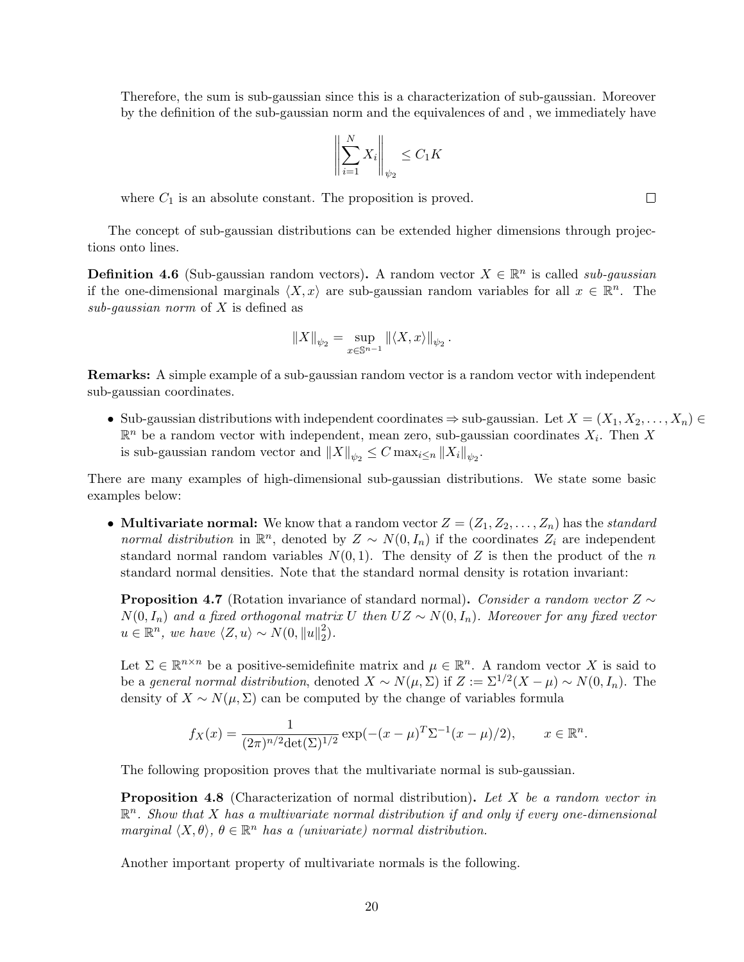Therefore, the sum is sub-gaussian since this is a characterization of sub-gaussian. Moreover by the definition of the sub-gaussian norm and the equivalences of and , we immediately have

$$
\left\| \sum_{i=1}^{N} X_i \right\|_{\psi_2} \le C_1 K
$$

where  $C_1$  is an absolute constant. The proposition is proved.

The concept of sub-gaussian distributions can be extended higher dimensions through projections onto lines.

**Definition 4.6** (Sub-gaussian random vectors). A random vector  $X \in \mathbb{R}^n$  is called sub-gaussian if the one-dimensional marginals  $\langle X, x \rangle$  are sub-gaussian random variables for all  $x \in \mathbb{R}^n$ . The sub-gaussian norm of  $X$  is defined as

$$
||X||_{\psi_2} = \sup_{x \in \mathbb{S}^{n-1}} ||\langle X, x \rangle||_{\psi_2}.
$$

Remarks: A simple example of a sub-gaussian random vector is a random vector with independent sub-gaussian coordinates.

• Sub-gaussian distributions with independent coordinates  $\Rightarrow$  sub-gaussian. Let  $X = (X_1, X_2, \ldots, X_n) \in$  $\mathbb{R}^n$  be a random vector with independent, mean zero, sub-gaussian coordinates  $X_i$ . Then X is sub-gaussian random vector and  $||X||_{\psi_2} \leq C \max_{i \leq n} ||X_i||_{\psi_2}$ .

There are many examples of high-dimensional sub-gaussian distributions. We state some basic examples below:

• Multivariate normal: We know that a random vector  $Z = (Z_1, Z_2, \ldots, Z_n)$  has the standard normal distribution in  $\mathbb{R}^n$ , denoted by  $Z \sim N(0, I_n)$  if the coordinates  $Z_i$  are independent standard normal random variables  $N(0, 1)$ . The density of Z is then the product of the n standard normal densities. Note that the standard normal density is rotation invariant:

**Proposition 4.7** (Rotation invariance of standard normal). Consider a random vector  $Z \sim$  $N(0, I_n)$  and a fixed orthogonal matrix U then  $UZ \sim N(0, I_n)$ . Moreover for any fixed vector  $u \in \mathbb{R}^n$ , we have  $\langle Z, u \rangle \sim N(0, \|u\|_2^2)$  $_{2}^{2}).$ 

Let  $\Sigma \in \mathbb{R}^{n \times n}$  be a positive-semidefinite matrix and  $\mu \in \mathbb{R}^n$ . A random vector X is said to be a general normal distribution, denoted  $X \sim N(\mu, \Sigma)$  if  $Z := \Sigma^{1/2}(X - \mu) \sim N(0, I_n)$ . The density of  $X \sim N(\mu, \Sigma)$  can be computed by the change of variables formula

$$
f_X(x) = \frac{1}{(2\pi)^{n/2} \det(\Sigma)^{1/2}} \exp(-(x-\mu)^T \Sigma^{-1} (x-\mu)/2), \qquad x \in \mathbb{R}^n.
$$

The following proposition proves that the multivariate normal is sub-gaussian.

**Proposition 4.8** (Characterization of normal distribution). Let X be a random vector in  $\mathbb{R}^n$ . Show that X has a multivariate normal distribution if and only if every one-dimensional marginal  $\langle X, \theta \rangle, \theta \in \mathbb{R}^n$  has a (univariate) normal distribution.

Another important property of multivariate normals is the following.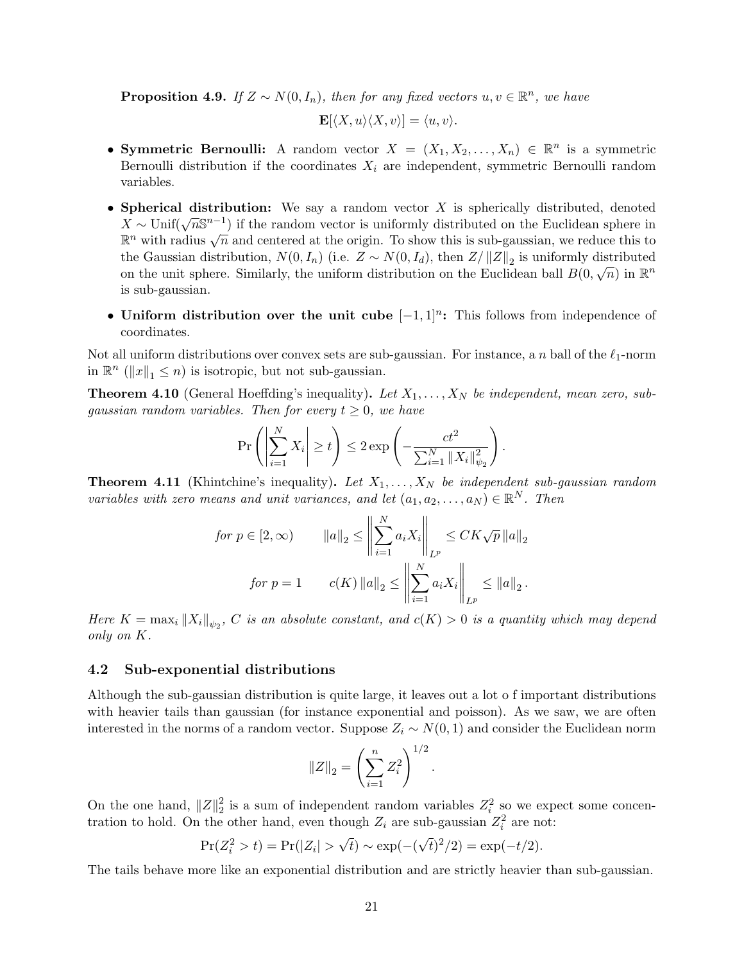**Proposition 4.9.** If  $Z \sim N(0, I_n)$ , then for any fixed vectors  $u, v \in \mathbb{R}^n$ , we have

$$
\mathbf{E}[\langle X, u \rangle \langle X, v \rangle] = \langle u, v \rangle.
$$

- Symmetric Bernoulli: A random vector  $X = (X_1, X_2, \ldots, X_n) \in \mathbb{R}^n$  is a symmetric Bernoulli distribution if the coordinates  $X_i$  are independent, symmetric Bernoulli random variables.
- Spherical distribution: We say a random vector  $X$  is spherically distributed, denoted Spherical distribution. We say a random vector  $X$  is spherically distributed, denoted  $X \sim \text{Unif}(\sqrt{n}S^{n-1})$  if the random vector is uniformly distributed on the Euclidean sphere in  $R^n$  with radius  $\sqrt{n}$  and centered at the origin. To show this is sub-gaussian, we reduce this to  $\mathbb{R}^n$  with radius  $\sqrt{n}$  and centered at the origin. To show this is sub-gaussian, we reduce this to the Gaussian distribution,  $N(0, I_n)$  (i.e.  $Z \sim N(0, I_d)$ , then  $Z/\|Z\|_2$  is uniformly distributed on the unit sphere. Similarly, the uniform distribution on the Euclidean ball  $B(0,\sqrt{n})$  in  $\mathbb{R}^n$ is sub-gaussian.
- Uniform distribution over the unit cube  $[-1,1]^n$ : This follows from independence of coordinates.

Not all uniform distributions over convex sets are sub-gaussian. For instance, a n ball of the  $\ell_1$ -norm in  $\mathbb{R}^n$  ( $||x||_1 \leq n$ ) is isotropic, but not sub-gaussian.

**Theorem 4.10** (General Hoeffding's inequality). Let  $X_1, \ldots, X_N$  be independent, mean zero, subgaussian random variables. Then for every  $t \geq 0$ , we have

$$
\Pr\left(\left|\sum_{i=1}^N X_i\right| \geq t\right) \leq 2 \exp\left(-\frac{ct^2}{\sum_{i=1}^N \|X_i\|_{\psi_2}^2}\right).
$$

**Theorem 4.11** (Khintchine's inequality). Let  $X_1, \ldots, X_N$  be independent sub-gaussian random variables with zero means and unit variances, and let  $(a_1, a_2, \ldots, a_N) \in \mathbb{R}^N$ . Then

$$
\begin{aligned}\nfor \ p \in [2, \infty) \qquad & \|a\|_2 \le \left\| \sum_{i=1}^N a_i X_i \right\|_{L^p} \le CK\sqrt{p} \left\| a \right\|_2 \\
for \ p = 1 \qquad c(K) \left\| a \right\|_2 \le \left\| \sum_{i=1}^N a_i X_i \right\|_{L^p} \le \|a\|_2.\n\end{aligned}
$$

Here  $K = \max_i ||X_i||_{\psi_2}$ , C is an absolute constant, and  $c(K) > 0$  is a quantity which may depend only on K.

#### <span id="page-20-0"></span>4.2 Sub-exponential distributions

Although the sub-gaussian distribution is quite large, it leaves out a lot o f important distributions with heavier tails than gaussian (for instance exponential and poisson). As we saw, we are often interested in the norms of a random vector. Suppose  $Z_i \sim N(0, 1)$  and consider the Euclidean norm

$$
||Z||_2 = \left(\sum_{i=1}^n Z_i^2\right)^{1/2}.
$$

On the one hand,  $||Z||_2^2$  $\frac{2}{2}$  is a sum of independent random variables  $Z_i^2$  so we expect some concentration to hold. On the other hand, even though  $Z_i$  are sub-gaussian  $Z_i^2$  are not:

$$
Pr(Z_i^2 > t) = Pr(|Z_i| > \sqrt{t}) \sim exp(-(\sqrt{t})^2/2) = exp(-t/2).
$$

The tails behave more like an exponential distribution and are strictly heavier than sub-gaussian.